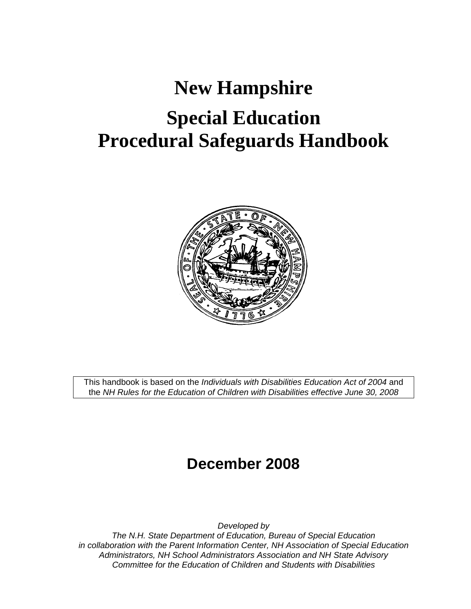# **New Hampshire Special Education Procedural Safeguards Handbook**



This handbook is based on the *Individuals with Disabilities Education Act of 2004* and the *NH Rules for the Education of Children with Disabilities effective June 30, 2008*

# **December 2008**

*Developed by* 

*The N.H. State Department of Education, Bureau of Special Education in collaboration with the Parent Information Center, NH Association of Special Education Administrators, NH School Administrators Association and NH State Advisory Committee for the Education of Children and Students with Disabilities*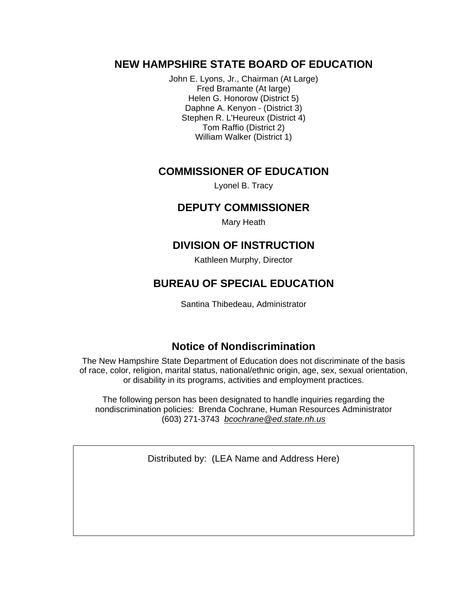### **NEW HAMPSHIRE STATE BOARD OF EDUCATION**

John E. Lyons, Jr., Chairman (At Large) Fred Bramante (At large) Helen G. Honorow (District 5) Daphne A. Kenyon - (District 3) Stephen R. L'Heureux (District 4) Tom Raffio (District 2) William Walker (District 1)

### **COMMISSIONER OF EDUCATION**

Lyonel B. Tracy

### **DEPUTY COMMISSIONER**

Mary Heath

### **DIVISION OF INSTRUCTION**

Kathleen Murphy, Director

### **BUREAU OF SPECIAL EDUCATION**

Santina Thibedeau, Administrator

### **Notice of Nondiscrimination**

The New Hampshire State Department of Education does not discriminate of the basis of race, color, religion, marital status, national/ethnic origin, age, sex, sexual orientation, or disability in its programs, activities and employment practices.

The following person has been designated to handle inquiries regarding the nondiscrimination policies: Brenda Cochrane, Human Resources Administrator (603) 271-3743 *bcochrane@ed.state.nh.us*

Distributed by: (LEA Name and Address Here)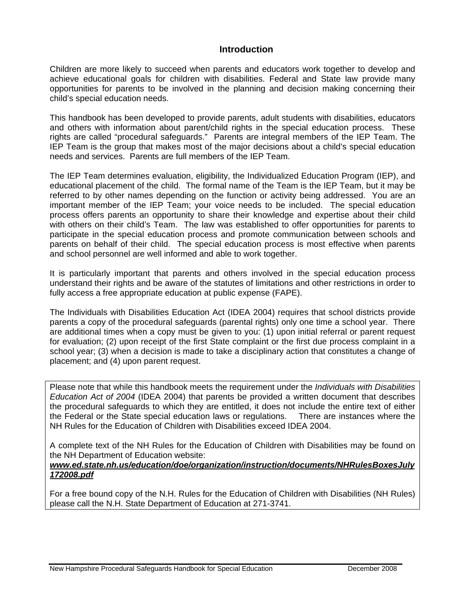### **Introduction**

Children are more likely to succeed when parents and educators work together to develop and achieve educational goals for children with disabilities. Federal and State law provide many opportunities for parents to be involved in the planning and decision making concerning their child's special education needs.

This handbook has been developed to provide parents, adult students with disabilities, educators and others with information about parent/child rights in the special education process. These rights are called "procedural safeguards." Parents are integral members of the IEP Team. The IEP Team is the group that makes most of the major decisions about a child's special education needs and services. Parents are full members of the IEP Team.

The IEP Team determines evaluation, eligibility, the Individualized Education Program (IEP), and educational placement of the child. The formal name of the Team is the IEP Team, but it may be referred to by other names depending on the function or activity being addressed. You are an important member of the IEP Team; your voice needs to be included. The special education process offers parents an opportunity to share their knowledge and expertise about their child with others on their child's Team. The law was established to offer opportunities for parents to participate in the special education process and promote communication between schools and parents on behalf of their child. The special education process is most effective when parents and school personnel are well informed and able to work together.

It is particularly important that parents and others involved in the special education process understand their rights and be aware of the statutes of limitations and other restrictions in order to fully access a free appropriate education at public expense (FAPE).

The Individuals with Disabilities Education Act (IDEA 2004) requires that school districts provide parents a copy of the procedural safeguards (parental rights) only one time a school year. There are additional times when a copy must be given to you: (1) upon initial referral or parent request for evaluation; (2) upon receipt of the first State complaint or the first due process complaint in a school year; (3) when a decision is made to take a disciplinary action that constitutes a change of placement; and (4) upon parent request.

Please note that while this handbook meets the requirement under the *Individuals with Disabilities Education Act of 2004* (IDEA 2004) that parents be provided a written document that describes the procedural safeguards to which they are entitled, it does not include the entire text of either the Federal or the State special education laws or regulations. There are instances where the NH Rules for the Education of Children with Disabilities exceed IDEA 2004.

A complete text of the NH Rules for the Education of Children with Disabilities may be found on the NH Department of Education website:

#### *www.ed.state.nh.us/education/doe/organization/instruction/documents/NHRulesBoxesJuly 172008.pdf*

For a free bound copy of the N.H. Rules for the Education of Children with Disabilities (NH Rules) please call the N.H. State Department of Education at 271-3741.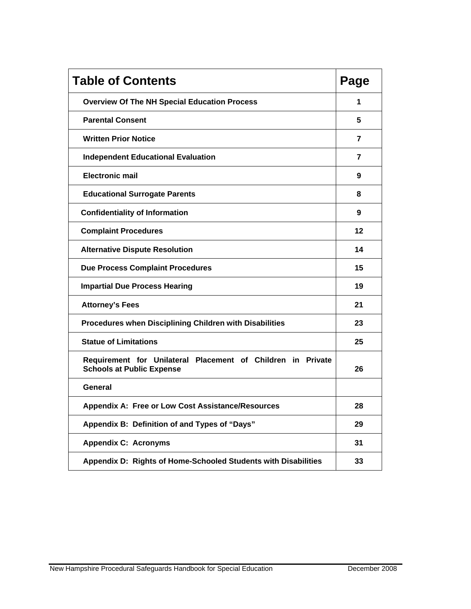| <b>Table of Contents</b>                                                                        | Page |
|-------------------------------------------------------------------------------------------------|------|
| <b>Overview Of The NH Special Education Process</b>                                             | 1    |
| <b>Parental Consent</b>                                                                         | 5    |
| <b>Written Prior Notice</b>                                                                     | 7    |
| <b>Independent Educational Evaluation</b>                                                       | 7    |
| <b>Electronic mail</b>                                                                          | 9    |
| <b>Educational Surrogate Parents</b>                                                            | 8    |
| <b>Confidentiality of Information</b>                                                           | 9    |
| <b>Complaint Procedures</b>                                                                     | 12   |
| <b>Alternative Dispute Resolution</b>                                                           | 14   |
| <b>Due Process Complaint Procedures</b>                                                         | 15   |
| <b>Impartial Due Process Hearing</b>                                                            | 19   |
| <b>Attorney's Fees</b>                                                                          | 21   |
| Procedures when Disciplining Children with Disabilities                                         | 23   |
| <b>Statue of Limitations</b>                                                                    | 25   |
| Requirement for Unilateral Placement of Children in Private<br><b>Schools at Public Expense</b> | 26   |
| General                                                                                         |      |
| Appendix A: Free or Low Cost Assistance/Resources                                               | 28   |
| Appendix B: Definition of and Types of "Days"                                                   | 29   |
| <b>Appendix C: Acronyms</b>                                                                     | 31   |
| Appendix D: Rights of Home-Schooled Students with Disabilities                                  | 33   |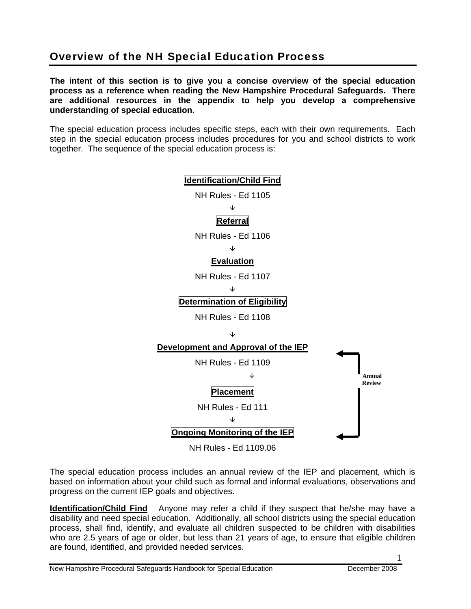# Overview of the NH Special Education Process

**The intent of this section is to give you a concise overview of the special education process as a reference when reading the New Hampshire Procedural Safeguards. There are additional resources in the appendix to help you develop a comprehensive understanding of special education.** 

The special education process includes specific steps, each with their own requirements. Each step in the special education process includes procedures for you and school districts to work together. The sequence of the special education process is:



The special education process includes an annual review of the IEP and placement, which is based on information about your child such as formal and informal evaluations, observations and progress on the current IEP goals and objectives.

**Identification/Child Find** Anyone may refer a child if they suspect that he/she may have a disability and need special education. Additionally, all school districts using the special education process, shall find, identify, and evaluate all children suspected to be children with disabilities who are 2.5 years of age or older, but less than 21 years of age, to ensure that eligible children are found, identified, and provided needed services.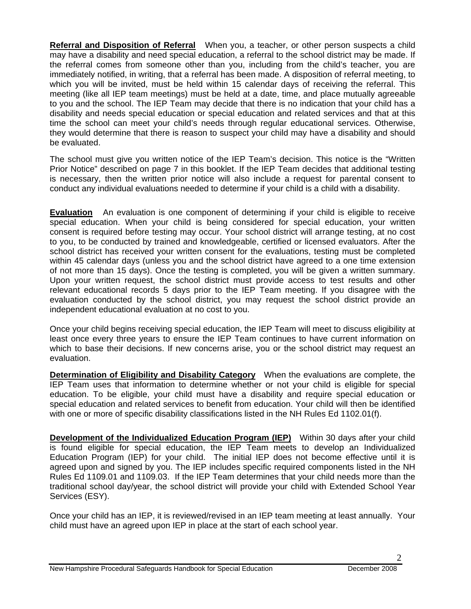**Referral and Disposition of Referral** When you, a teacher, or other person suspects a child may have a disability and need special education, a referral to the school district may be made. If the referral comes from someone other than you, including from the child's teacher, you are immediately notified, in writing, that a referral has been made. A disposition of referral meeting, to which you will be invited, must be held within 15 calendar days of receiving the referral. This meeting (like all IEP team meetings) must be held at a date, time, and place mutually agreeable to you and the school. The IEP Team may decide that there is no indication that your child has a disability and needs special education or special education and related services and that at this time the school can meet your child's needs through regular educational services. Otherwise, they would determine that there is reason to suspect your child may have a disability and should be evaluated.

The school must give you written notice of the IEP Team's decision. This notice is the "Written Prior Notice" described on page 7 in this booklet. If the IEP Team decides that additional testing is necessary, then the written prior notice will also include a request for parental consent to conduct any individual evaluations needed to determine if your child is a child with a disability.

**Evaluation** An evaluation is one component of determining if your child is eligible to receive special education. When your child is being considered for special education, your written consent is required before testing may occur. Your school district will arrange testing, at no cost to you, to be conducted by trained and knowledgeable, certified or licensed evaluators. After the school district has received your written consent for the evaluations, testing must be completed within 45 calendar days (unless you and the school district have agreed to a one time extension of not more than 15 days). Once the testing is completed, you will be given a written summary. Upon your written request, the school district must provide access to test results and other relevant educational records 5 days prior to the IEP Team meeting. If you disagree with the evaluation conducted by the school district, you may request the school district provide an independent educational evaluation at no cost to you.

Once your child begins receiving special education, the IEP Team will meet to discuss eligibility at least once every three years to ensure the IEP Team continues to have current information on which to base their decisions. If new concerns arise, you or the school district may request an evaluation.

**Determination of Eligibility and Disability Category** When the evaluations are complete, the IEP Team uses that information to determine whether or not your child is eligible for special education. To be eligible, your child must have a disability and require special education or special education and related services to benefit from education. Your child will then be identified with one or more of specific disability classifications listed in the NH Rules Ed 1102.01(f).

**Development of the Individualized Education Program (IEP)** Within 30 days after your child is found eligible for special education, the IEP Team meets to develop an Individualized Education Program (IEP) for your child. The initial IEP does not become effective until it is agreed upon and signed by you. The IEP includes specific required components listed in the NH Rules Ed 1109.01 and 1109.03. If the IEP Team determines that your child needs more than the traditional school day/year, the school district will provide your child with Extended School Year Services (ESY).

Once your child has an IEP, it is reviewed/revised in an IEP team meeting at least annually. Your child must have an agreed upon IEP in place at the start of each school year.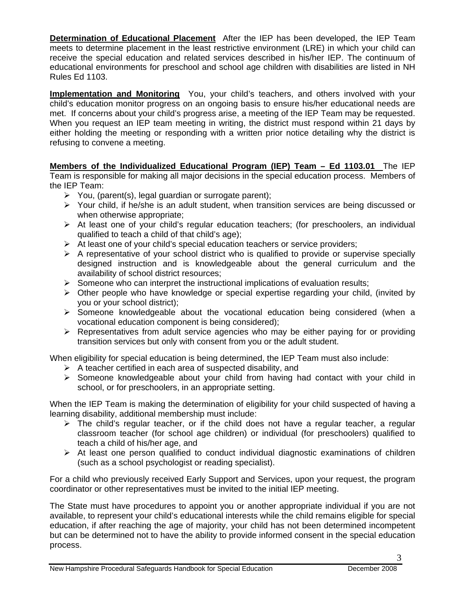**Determination of Educational Placement** After the IEP has been developed, the IEP Team meets to determine placement in the least restrictive environment (LRE) in which your child can receive the special education and related services described in his/her IEP. The continuum of educational environments for preschool and school age children with disabilities are listed in NH Rules Ed 1103.

**Implementation and Monitoring** You, your child's teachers, and others involved with your child's education monitor progress on an ongoing basis to ensure his/her educational needs are met. If concerns about your child's progress arise, a meeting of the IEP Team may be requested. When you request an IEP team meeting in writing, the district must respond within 21 days by either holding the meeting or responding with a written prior notice detailing why the district is refusing to convene a meeting.

**Members of the Individualized Educational Program (IEP) Team – Ed 1103.01** The IEP Team is responsible for making all major decisions in the special education process. Members of the IEP Team:

- $\triangleright$  You, (parent(s), legal guardian or surrogate parent);
- ¾ Your child, if he/she is an adult student, when transition services are being discussed or when otherwise appropriate;
- $\triangleright$  At least one of your child's regular education teachers; (for preschoolers, an individual qualified to teach a child of that child's age);
- $\triangleright$  At least one of your child's special education teachers or service providers;
- $\triangleright$  A representative of your school district who is qualified to provide or supervise specially designed instruction and is knowledgeable about the general curriculum and the availability of school district resources;
- $\triangleright$  Someone who can interpret the instructional implications of evaluation results;
- $\triangleright$  Other people who have knowledge or special expertise regarding your child, (invited by you or your school district);
- $\triangleright$  Someone knowledgeable about the vocational education being considered (when a vocational education component is being considered);
- $\triangleright$  Representatives from adult service agencies who may be either paying for or providing transition services but only with consent from you or the adult student.

When eligibility for special education is being determined, the IEP Team must also include:

- $\triangleright$  A teacher certified in each area of suspected disability, and
- $\triangleright$  Someone knowledgeable about your child from having had contact with your child in school, or for preschoolers, in an appropriate setting.

When the IEP Team is making the determination of eligibility for your child suspected of having a learning disability, additional membership must include:

- $\triangleright$  The child's regular teacher, or if the child does not have a regular teacher, a regular classroom teacher (for school age children) or individual (for preschoolers) qualified to teach a child of his/her age, and
- $\triangleright$  At least one person qualified to conduct individual diagnostic examinations of children (such as a school psychologist or reading specialist).

For a child who previously received Early Support and Services, upon your request, the program coordinator or other representatives must be invited to the initial IEP meeting.

The State must have procedures to appoint you or another appropriate individual if you are not available, to represent your child's educational interests while the child remains eligible for special education, if after reaching the age of majority, your child has not been determined incompetent but can be determined not to have the ability to provide informed consent in the special education process.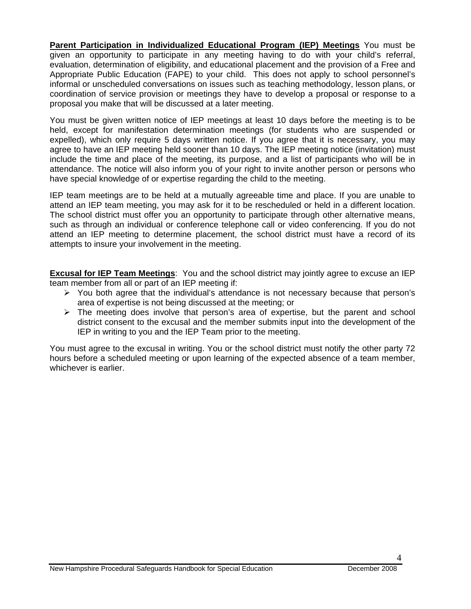**Parent Participation in Individualized Educational Program (IEP) Meetings** You must be given an opportunity to participate in any meeting having to do with your child's referral, evaluation, determination of eligibility, and educational placement and the provision of a Free and Appropriate Public Education (FAPE) to your child. This does not apply to school personnel's informal or unscheduled conversations on issues such as teaching methodology, lesson plans, or coordination of service provision or meetings they have to develop a proposal or response to a proposal you make that will be discussed at a later meeting.

You must be given written notice of IEP meetings at least 10 days before the meeting is to be held, except for manifestation determination meetings (for students who are suspended or expelled), which only require 5 days written notice. If you agree that it is necessary, you may agree to have an IEP meeting held sooner than 10 days. The IEP meeting notice (invitation) must include the time and place of the meeting, its purpose, and a list of participants who will be in attendance. The notice will also inform you of your right to invite another person or persons who have special knowledge of or expertise regarding the child to the meeting.

IEP team meetings are to be held at a mutually agreeable time and place. If you are unable to attend an IEP team meeting, you may ask for it to be rescheduled or held in a different location. The school district must offer you an opportunity to participate through other alternative means, such as through an individual or conference telephone call or video conferencing. If you do not attend an IEP meeting to determine placement, the school district must have a record of its attempts to insure your involvement in the meeting.

**Excusal for IEP Team Meetings**: You and the school district may jointly agree to excuse an IEP team member from all or part of an IEP meeting if:

- $\triangleright$  You both agree that the individual's attendance is not necessary because that person's area of expertise is not being discussed at the meeting; or
- $\triangleright$  The meeting does involve that person's area of expertise, but the parent and school district consent to the excusal and the member submits input into the development of the IEP in writing to you and the IEP Team prior to the meeting.

You must agree to the excusal in writing. You or the school district must notify the other party 72 hours before a scheduled meeting or upon learning of the expected absence of a team member, whichever is earlier.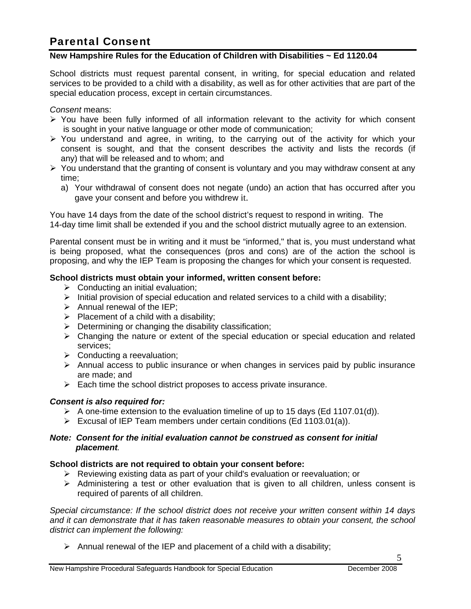# Parental Consent

#### **New Hampshire Rules for the Education of Children with Disabilities ~ Ed 1120.04**

School districts must request parental consent, in writing, for special education and related services to be provided to a child with a disability, as well as for other activities that are part of the special education process, except in certain circumstances.

*Consent* means:

- $\triangleright$  You have been fully informed of all information relevant to the activity for which consent is sought in your native language or other mode of communication;
- $\triangleright$  You understand and agree, in writing, to the carrying out of the activity for which your consent is sought, and that the consent describes the activity and lists the records (if any) that will be released and to whom; and
- $\triangleright$  You understand that the granting of consent is voluntary and you may withdraw consent at any time;
	- a) Your withdrawal of consent does not negate (undo) an action that has occurred after you gave your consent and before you withdrew it.

You have 14 days from the date of the school district's request to respond in writing. The 14-day time limit shall be extended if you and the school district mutually agree to an extension.

Parental consent must be in writing and it must be "informed," that is, you must understand what is being proposed, what the consequences (pros and cons) are of the action the school is proposing, and why the IEP Team is proposing the changes for which your consent is requested.

#### **School districts must obtain your informed, written consent before:**

- $\triangleright$  Conducting an initial evaluation;
- $\triangleright$  Initial provision of special education and related services to a child with a disability;
- $\triangleright$  Annual renewal of the IEP:
- $\triangleright$  Placement of a child with a disability;
- $\triangleright$  Determining or changing the disability classification;
- $\triangleright$  Changing the nature or extent of the special education or special education and related services;
- $\triangleright$  Conducting a reevaluation;
- $\triangleright$  Annual access to public insurance or when changes in services paid by public insurance are made; and
- $\triangleright$  Each time the school district proposes to access private insurance.

#### *Consent is also required for:*

- $\triangleright$  A one-time extension to the evaluation timeline of up to 15 days (Ed 1107.01(d)).
- $\triangleright$  Excusal of IEP Team members under certain conditions (Ed 1103.01(a)).

#### *Note: Consent for the initial evaluation cannot be construed as consent for initial placement.*

#### **School districts are not required to obtain your consent before:**

- $\triangleright$  Reviewing existing data as part of your child's evaluation or reevaluation; or
- $\triangleright$  Administering a test or other evaluation that is given to all children, unless consent is required of parents of all children.

*Special circumstance: If the school district does not receive your written consent within 14 days and it can demonstrate that it has taken reasonable measures to obtain your consent, the school district can implement the following:* 

 $\triangleright$  Annual renewal of the IEP and placement of a child with a disability;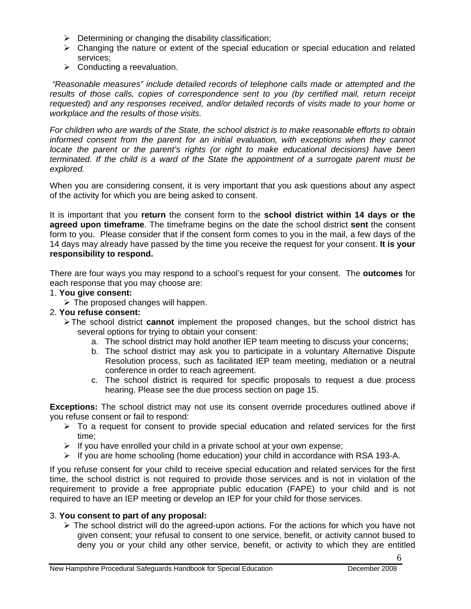- $\triangleright$  Determining or changing the disability classification;
- $\triangleright$  Changing the nature or extent of the special education or special education and related services;
- $\triangleright$  Conducting a reevaluation.

 *"Reasonable measures" include detailed records of telephone calls made or attempted and the results of those calls, copies of correspondence sent to you (by certified mail, return receipt requested) and any responses received, and/or detailed records of visits made to your home or workplace and the results of those visits.* 

*For children who are wards of the State, the school district is to make reasonable efforts to obtain*  informed consent from the parent for an initial evaluation, with exceptions when they cannot *locate the parent or the parent's rights (or right to make educational decisions) have been terminated. If the child is a ward of the State the appointment of a surrogate parent must be explored.*

When you are considering consent, it is very important that you ask questions about any aspect of the activity for which you are being asked to consent.

It is important that you **return** the consent form to the **school district within 14 days or the agreed upon timeframe**. The timeframe begins on the date the school district **sent** the consent form to you. Please consider that if the consent form comes to you in the mail, a few days of the 14 days may already have passed by the time you receive the request for your consent. **It is your responsibility to respond.** 

There are four ways you may respond to a school's request for your consent. The **outcomes** for each response that you may choose are:

#### 1. **You give consent:**

 $\triangleright$  The proposed changes will happen.

- 2. **You refuse consent:** 
	- ¾ The school district **cannot** implement the proposed changes, but the school district has several options for trying to obtain your consent:
		- a. The school district may hold another IEP team meeting to discuss your concerns;
		- b. The school district may ask you to participate in a voluntary Alternative Dispute Resolution process, such as facilitated IEP team meeting, mediation or a neutral conference in order to reach agreement.
		- c. The school district is required for specific proposals to request a due process hearing. Please see the due process section on page 15.

**Exceptions:** The school district may not use its consent override procedures outlined above if you refuse consent or fail to respond:

- $\triangleright$  To a request for consent to provide special education and related services for the first time;
- $\triangleright$  If you have enrolled your child in a private school at your own expense;
- $\triangleright$  If you are home schooling (home education) your child in accordance with RSA 193-A.

If you refuse consent for your child to receive special education and related services for the first time, the school district is not required to provide those services and is not in violation of the requirement to provide a free appropriate public education (FAPE) to your child and is not required to have an IEP meeting or develop an IEP for your child for those services.

#### 3. **You consent to part of any proposal:**

 $\triangleright$  The school district will do the agreed-upon actions. For the actions for which you have not given consent; your refusal to consent to one service, benefit, or activity cannot bused to deny you or your child any other service, benefit, or activity to which they are entitled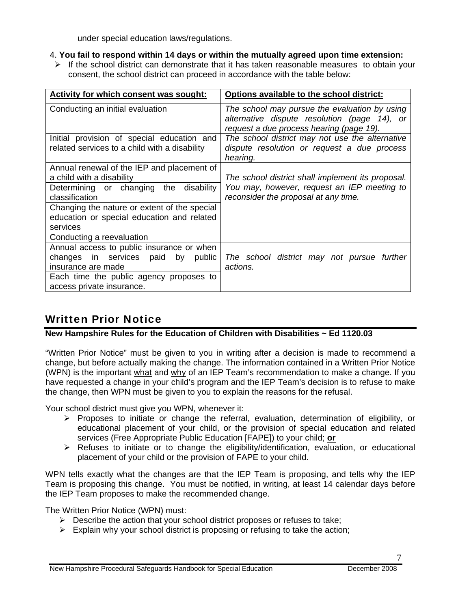under special education laws/regulations.

- 4. **You fail to respond within 14 days or within the mutually agreed upon time extension:**
- $\triangleright$  If the school district can demonstrate that it has taken reasonable measures to obtain your consent, the school district can proceed in accordance with the table below:

| Activity for which consent was sought:                                                                                                                                                                                                              | Options available to the school district:                                                                                                 |
|-----------------------------------------------------------------------------------------------------------------------------------------------------------------------------------------------------------------------------------------------------|-------------------------------------------------------------------------------------------------------------------------------------------|
| Conducting an initial evaluation                                                                                                                                                                                                                    | The school may pursue the evaluation by using<br>alternative dispute resolution (page 14), or<br>request a due process hearing (page 19). |
| Initial provision of special education and<br>related services to a child with a disability                                                                                                                                                         | The school district may not use the alternative<br>dispute resolution or request a due process<br>hearing.                                |
| Annual renewal of the IEP and placement of<br>a child with a disability<br>disability<br>Determining or changing<br>the<br>classification<br>Changing the nature or extent of the special<br>education or special education and related<br>services | The school district shall implement its proposal.<br>You may, however, request an IEP meeting to<br>reconsider the proposal at any time.  |
| Conducting a reevaluation                                                                                                                                                                                                                           |                                                                                                                                           |
| Annual access to public insurance or when<br>changes in services paid<br>by<br>public<br>insurance are made<br>Each time the public agency proposes to                                                                                              | The school district may not pursue further<br>actions.                                                                                    |
| access private insurance.                                                                                                                                                                                                                           |                                                                                                                                           |

# Written Prior Notice

### **New Hampshire Rules for the Education of Children with Disabilities ~ Ed 1120.03**

"Written Prior Notice" must be given to you in writing after a decision is made to recommend a change, but before actually making the change. The information contained in a Written Prior Notice (WPN) is the important what and why of an IEP Team's recommendation to make a change. If you have requested a change in your child's program and the IEP Team's decision is to refuse to make the change, then WPN must be given to you to explain the reasons for the refusal.

Your school district must give you WPN, whenever it:

- ¾ Proposes to initiate or change the referral, evaluation, determination of eligibility, or educational placement of your child, or the provision of special education and related services (Free Appropriate Public Education [FAPE]) to your child; **or**
- $\triangleright$  Refuses to initiate or to change the eligibility/identification, evaluation, or educational placement of your child or the provision of FAPE to your child.

WPN tells exactly what the changes are that the IEP Team is proposing, and tells why the IEP Team is proposing this change. You must be notified, in writing, at least 14 calendar days before the IEP Team proposes to make the recommended change.

The Written Prior Notice (WPN) must:

- $\triangleright$  Describe the action that your school district proposes or refuses to take;
- $\triangleright$  Explain why your school district is proposing or refusing to take the action;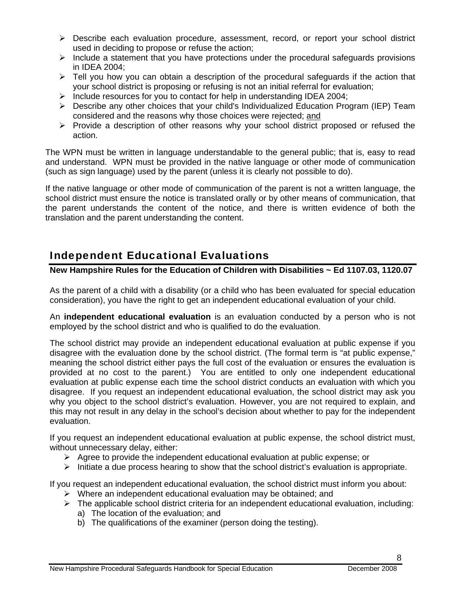- $\triangleright$  Describe each evaluation procedure, assessment, record, or report your school district used in deciding to propose or refuse the action;
- $\triangleright$  Include a statement that you have protections under the procedural safeguards provisions in IDEA 2004;
- $\triangleright$  Tell you how you can obtain a description of the procedural safeguards if the action that your school district is proposing or refusing is not an initial referral for evaluation;
- ¾ Include resources for you to contact for help in understanding IDEA 2004;
- $\triangleright$  Describe any other choices that your child's Individualized Education Program (IEP) Team considered and the reasons why those choices were rejected; and
- $\triangleright$  Provide a description of other reasons why your school district proposed or refused the action.

The WPN must be written in language understandable to the general public; that is, easy to read and understand. WPN must be provided in the native language or other mode of communication (such as sign language) used by the parent (unless it is clearly not possible to do).

If the native language or other mode of communication of the parent is not a written language, the school district must ensure the notice is translated orally or by other means of communication, that the parent understands the content of the notice, and there is written evidence of both the translation and the parent understanding the content.

# Independent Educational Evaluations

### **New Hampshire Rules for the Education of Children with Disabilities ~ Ed 1107.03, 1120.07**

As the parent of a child with a disability (or a child who has been evaluated for special education consideration), you have the right to get an independent educational evaluation of your child.

An **independent educational evaluation** is an evaluation conducted by a person who is not employed by the school district and who is qualified to do the evaluation.

The school district may provide an independent educational evaluation at public expense if you disagree with the evaluation done by the school district. (The formal term is "at public expense," meaning the school district either pays the full cost of the evaluation or ensures the evaluation is provided at no cost to the parent.) You are entitled to only one independent educational evaluation at public expense each time the school district conducts an evaluation with which you disagree. If you request an independent educational evaluation, the school district may ask you why you object to the school district's evaluation. However, you are not required to explain, and this may not result in any delay in the school's decision about whether to pay for the independent evaluation.

If you request an independent educational evaluation at public expense, the school district must, without unnecessary delay, either:

- $\triangleright$  Agree to provide the independent educational evaluation at public expense; or
- $\triangleright$  Initiate a due process hearing to show that the school district's evaluation is appropriate.

If you request an independent educational evaluation, the school district must inform you about:

- $\triangleright$  Where an independent educational evaluation may be obtained; and
- $\triangleright$  The applicable school district criteria for an independent educational evaluation, including:
	- a) The location of the evaluation; and
	- b) The qualifications of the examiner (person doing the testing).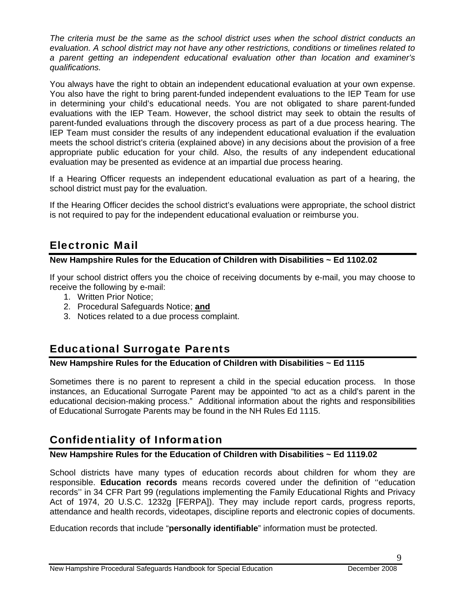*The criteria must be the same as the school district uses when the school district conducts an evaluation. A school district may not have any other restrictions, conditions or timelines related to a parent getting an independent educational evaluation other than location and examiner's qualifications.* 

You always have the right to obtain an independent educational evaluation at your own expense. You also have the right to bring parent-funded independent evaluations to the IEP Team for use in determining your child's educational needs. You are not obligated to share parent-funded evaluations with the IEP Team. However, the school district may seek to obtain the results of parent-funded evaluations through the discovery process as part of a due process hearing. The IEP Team must consider the results of any independent educational evaluation if the evaluation meets the school district's criteria (explained above) in any decisions about the provision of a free appropriate public education for your child. Also, the results of any independent educational evaluation may be presented as evidence at an impartial due process hearing.

If a Hearing Officer requests an independent educational evaluation as part of a hearing, the school district must pay for the evaluation.

If the Hearing Officer decides the school district's evaluations were appropriate, the school district is not required to pay for the independent educational evaluation or reimburse you.

# Electronic Mail

### **New Hampshire Rules for the Education of Children with Disabilities ~ Ed 1102.02**

If your school district offers you the choice of receiving documents by e-mail, you may choose to receive the following by e-mail:

- 1. Written Prior Notice;
- 2. Procedural Safeguards Notice; **and**
- 3. Notices related to a due process complaint.

# Educational Surrogate Parents

#### **New Hampshire Rules for the Education of Children with Disabilities ~ Ed 1115**

Sometimes there is no parent to represent a child in the special education process. In those instances, an Educational Surrogate Parent may be appointed "to act as a child's parent in the educational decision-making process." Additional information about the rights and responsibilities of Educational Surrogate Parents may be found in the NH Rules Ed 1115.

# Confidentiality of Information

### **New Hampshire Rules for the Education of Children with Disabilities ~ Ed 1119.02**

School districts have many types of education records about children for whom they are responsible. **Education records** means records covered under the definition of ''education records'' in 34 CFR Part 99 (regulations implementing the Family Educational Rights and Privacy Act of 1974, 20 U.S.C. 1232g [FERPA]). They may include report cards, progress reports, attendance and health records, videotapes, discipline reports and electronic copies of documents.

Education records that include "**personally identifiable**" information must be protected.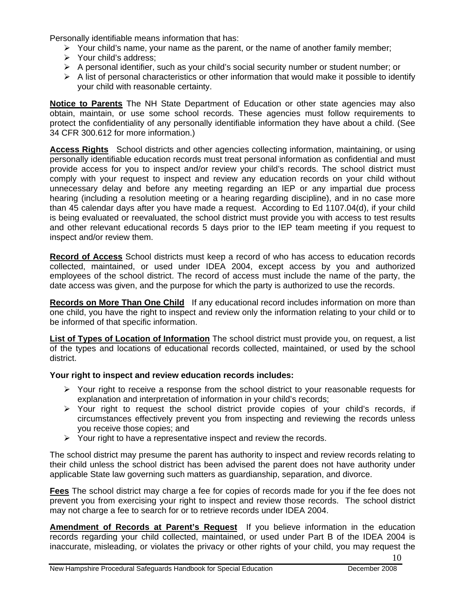Personally identifiable means information that has:

- $\triangleright$  Your child's name, your name as the parent, or the name of another family member;
- $\triangleright$  Your child's address;
- ¾ A personal identifier, such as your child's social security number or student number; or
- $\triangleright$  A list of personal characteristics or other information that would make it possible to identify your child with reasonable certainty.

**Notice to Parents** The NH State Department of Education or other state agencies may also obtain, maintain, or use some school records. These agencies must follow requirements to protect the confidentiality of any personally identifiable information they have about a child. (See 34 CFR 300.612 for more information.)

**Access Rights** School districts and other agencies collecting information, maintaining, or using personally identifiable education records must treat personal information as confidential and must provide access for you to inspect and/or review your child's records. The school district must comply with your request to inspect and review any education records on your child without unnecessary delay and before any meeting regarding an IEP or any impartial due process hearing (including a resolution meeting or a hearing regarding discipline), and in no case more than 45 calendar days after you have made a request. According to Ed 1107.04(d), if your child is being evaluated or reevaluated, the school district must provide you with access to test results and other relevant educational records 5 days prior to the IEP team meeting if you request to inspect and/or review them.

**Record of Access** School districts must keep a record of who has access to education records collected, maintained, or used under IDEA 2004, except access by you and authorized employees of the school district. The record of access must include the name of the party, the date access was given, and the purpose for which the party is authorized to use the records.

**Records on More Than One Child** If any educational record includes information on more than one child, you have the right to inspect and review only the information relating to your child or to be informed of that specific information.

**List of Types of Location of Information** The school district must provide you, on request, a list of the types and locations of educational records collected, maintained, or used by the school district.

#### **Your right to inspect and review education records includes:**

- $\triangleright$  Your right to receive a response from the school district to your reasonable requests for explanation and interpretation of information in your child's records;
- $\triangleright$  Your right to request the school district provide copies of your child's records, if circumstances effectively prevent you from inspecting and reviewing the records unless you receive those copies; and
- $\triangleright$  Your right to have a representative inspect and review the records.

The school district may presume the parent has authority to inspect and review records relating to their child unless the school district has been advised the parent does not have authority under applicable State law governing such matters as guardianship, separation, and divorce.

**Fees** The school district may charge a fee for copies of records made for you if the fee does not prevent you from exercising your right to inspect and review those records. The school district may not charge a fee to search for or to retrieve records under IDEA 2004.

**Amendment of Records at Parent's Request** If you believe information in the education records regarding your child collected, maintained, or used under Part B of the IDEA 2004 is inaccurate, misleading, or violates the privacy or other rights of your child, you may request the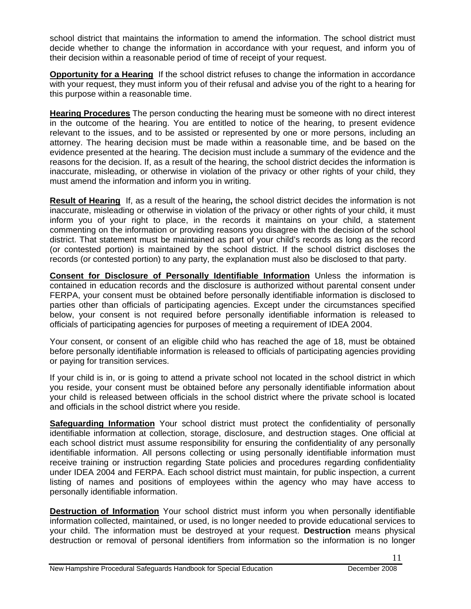school district that maintains the information to amend the information. The school district must decide whether to change the information in accordance with your request, and inform you of their decision within a reasonable period of time of receipt of your request.

**Opportunity for a Hearing** If the school district refuses to change the information in accordance with your request, they must inform you of their refusal and advise you of the right to a hearing for this purpose within a reasonable time.

**Hearing Procedures** The person conducting the hearing must be someone with no direct interest in the outcome of the hearing. You are entitled to notice of the hearing, to present evidence relevant to the issues, and to be assisted or represented by one or more persons, including an attorney. The hearing decision must be made within a reasonable time, and be based on the evidence presented at the hearing. The decision must include a summary of the evidence and the reasons for the decision. If, as a result of the hearing, the school district decides the information is inaccurate, misleading, or otherwise in violation of the privacy or other rights of your child, they must amend the information and inform you in writing.

**Result of Hearing** If, as a result of the hearing**,** the school district decides the information is not inaccurate, misleading or otherwise in violation of the privacy or other rights of your child, it must inform you of your right to place, in the records it maintains on your child, a statement commenting on the information or providing reasons you disagree with the decision of the school district. That statement must be maintained as part of your child's records as long as the record (or contested portion) is maintained by the school district. If the school district discloses the records (or contested portion) to any party, the explanation must also be disclosed to that party.

**Consent for Disclosure of Personally Identifiable Information** Unless the information is contained in education records and the disclosure is authorized without parental consent under FERPA, your consent must be obtained before personally identifiable information is disclosed to parties other than officials of participating agencies. Except under the circumstances specified below, your consent is not required before personally identifiable information is released to officials of participating agencies for purposes of meeting a requirement of IDEA 2004.

Your consent, or consent of an eligible child who has reached the age of 18, must be obtained before personally identifiable information is released to officials of participating agencies providing or paying for transition services.

If your child is in, or is going to attend a private school not located in the school district in which you reside, your consent must be obtained before any personally identifiable information about your child is released between officials in the school district where the private school is located and officials in the school district where you reside.

**Safeguarding Information** Your school district must protect the confidentiality of personally identifiable information at collection, storage, disclosure, and destruction stages. One official at each school district must assume responsibility for ensuring the confidentiality of any personally identifiable information. All persons collecting or using personally identifiable information must receive training or instruction regarding State policies and procedures regarding confidentiality under IDEA 2004 and FERPA. Each school district must maintain, for public inspection, a current listing of names and positions of employees within the agency who may have access to personally identifiable information.

**Destruction of Information** Your school district must inform you when personally identifiable information collected, maintained, or used, is no longer needed to provide educational services to your child. The information must be destroyed at your request. **Destruction** means physical destruction or removal of personal identifiers from information so the information is no longer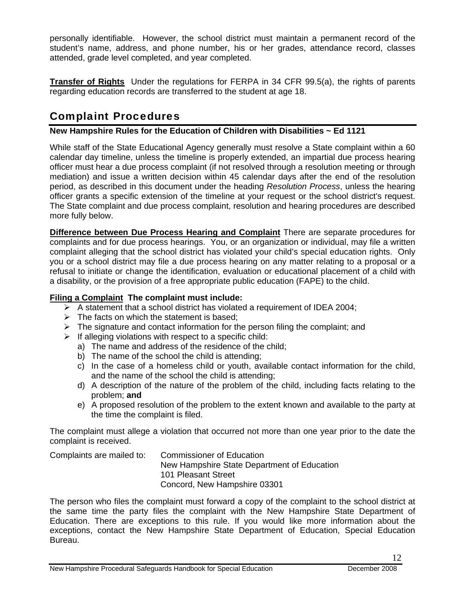personally identifiable. However, the school district must maintain a permanent record of the student's name, address, and phone number, his or her grades, attendance record, classes attended, grade level completed, and year completed.

**Transfer of Rights** Under the regulations for FERPA in 34 CFR 99.5(a), the rights of parents regarding education records are transferred to the student at age 18.

# Complaint Procedures

### **New Hampshire Rules for the Education of Children with Disabilities ~ Ed 1121**

While staff of the State Educational Agency generally must resolve a State complaint within a 60 calendar day timeline, unless the timeline is properly extended, an impartial due process hearing officer must hear a due process complaint (if not resolved through a resolution meeting or through mediation) and issue a written decision within 45 calendar days after the end of the resolution period, as described in this document under the heading *Resolution Process*, unless the hearing officer grants a specific extension of the timeline at your request or the school district's request. The State complaint and due process complaint, resolution and hearing procedures are described more fully below.

**Difference between Due Process Hearing and Complaint** There are separate procedures for complaints and for due process hearings. You, or an organization or individual, may file a written complaint alleging that the school district has violated your child's special education rights. Only you or a school district may file a due process hearing on any matter relating to a proposal or a refusal to initiate or change the identification, evaluation or educational placement of a child with a disability, or the provision of a free appropriate public education (FAPE) to the child.

### **Filing a Complaint The complaint must include:**

- $\triangleright$  A statement that a school district has violated a requirement of IDEA 2004;
- $\triangleright$  The facts on which the statement is based;
- $\triangleright$  The signature and contact information for the person filing the complaint; and
- $\triangleright$  If alleging violations with respect to a specific child:
	- a) The name and address of the residence of the child;
	- b) The name of the school the child is attending;
	- c) In the case of a homeless child or youth, available contact information for the child, and the name of the school the child is attending;
	- d) A description of the nature of the problem of the child, including facts relating to the problem; **and**
	- e) A proposed resolution of the problem to the extent known and available to the party at the time the complaint is filed.

The complaint must allege a violation that occurred not more than one year prior to the date the complaint is received.

Complaints are mailed to: Commissioner of Education New Hampshire State Department of Education 101 Pleasant Street Concord, New Hampshire 03301

The person who files the complaint must forward a copy of the complaint to the school district at the same time the party files the complaint with the New Hampshire State Department of Education. There are exceptions to this rule. If you would like more information about the exceptions, contact the New Hampshire State Department of Education, Special Education Bureau.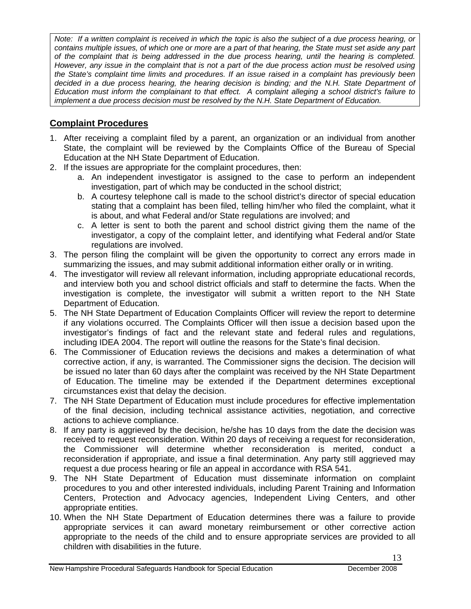*Note: If a written complaint is received in which the topic is also the subject of a due process hearing, or contains multiple issues, of which one or more are a part of that hearing, the State must set aside any part of the complaint that is being addressed in the due process hearing, until the hearing is completed. However, any issue in the complaint that is not a part of the due process action must be resolved using the State's complaint time limits and procedures. If an issue raised in a complaint has previously been*  decided in a due process hearing, the hearing decision is binding; and the N.H. State Department of *Education must inform the complainant to that effect. A complaint alleging a school district's failure to implement a due process decision must be resolved by the N.H. State Department of Education.* 

### **Complaint Procedures**

- 1. After receiving a complaint filed by a parent, an organization or an individual from another State, the complaint will be reviewed by the Complaints Office of the Bureau of Special Education at the NH State Department of Education.
- 2. If the issues are appropriate for the complaint procedures, then:
	- a. An independent investigator is assigned to the case to perform an independent investigation, part of which may be conducted in the school district;
	- b. A courtesy telephone call is made to the school district's director of special education stating that a complaint has been filed, telling him/her who filed the complaint, what it is about, and what Federal and/or State regulations are involved; and
	- c. A letter is sent to both the parent and school district giving them the name of the investigator, a copy of the complaint letter, and identifying what Federal and/or State regulations are involved.
- 3. The person filing the complaint will be given the opportunity to correct any errors made in summarizing the issues, and may submit additional information either orally or in writing.
- 4. The investigator will review all relevant information, including appropriate educational records, and interview both you and school district officials and staff to determine the facts. When the investigation is complete, the investigator will submit a written report to the NH State Department of Education.
- 5. The NH State Department of Education Complaints Officer will review the report to determine if any violations occurred. The Complaints Officer will then issue a decision based upon the investigator's findings of fact and the relevant state and federal rules and regulations, including IDEA 2004. The report will outline the reasons for the State's final decision.
- 6. The Commissioner of Education reviews the decisions and makes a determination of what corrective action, if any, is warranted. The Commissioner signs the decision. The decision will be issued no later than 60 days after the complaint was received by the NH State Department of Education. The timeline may be extended if the Department determines exceptional circumstances exist that delay the decision.
- 7. The NH State Department of Education must include procedures for effective implementation of the final decision, including technical assistance activities, negotiation, and corrective actions to achieve compliance.
- 8. If any party is aggrieved by the decision, he/she has 10 days from the date the decision was received to request reconsideration. Within 20 days of receiving a request for reconsideration, the Commissioner will determine whether reconsideration is merited, conduct a reconsideration if appropriate, and issue a final determination. Any party still aggrieved may request a due process hearing or file an appeal in accordance with RSA 541.
- 9. The NH State Department of Education must disseminate information on complaint procedures to you and other interested individuals, including Parent Training and Information Centers, Protection and Advocacy agencies, Independent Living Centers, and other appropriate entities.
- 10. When the NH State Department of Education determines there was a failure to provide appropriate services it can award monetary reimbursement or other corrective action appropriate to the needs of the child and to ensure appropriate services are provided to all children with disabilities in the future.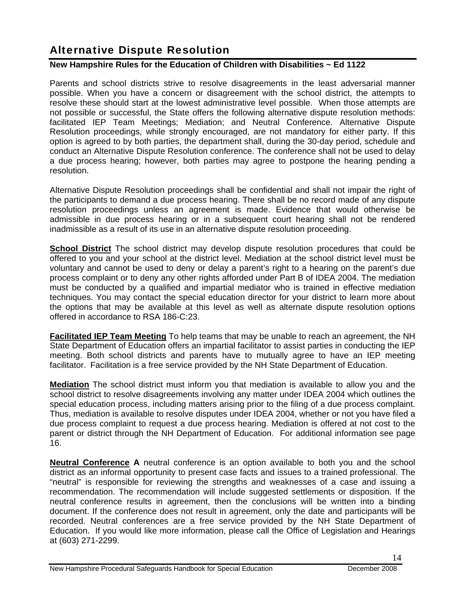# Alternative Dispute Resolution

### **New Hampshire Rules for the Education of Children with Disabilities ~ Ed 1122**

Parents and school districts strive to resolve disagreements in the least adversarial manner possible. When you have a concern or disagreement with the school district, the attempts to resolve these should start at the lowest administrative level possible. When those attempts are not possible or successful, the State offers the following alternative dispute resolution methods: facilitated IEP Team Meetings; Mediation; and Neutral Conference. Alternative Dispute Resolution proceedings, while strongly encouraged, are not mandatory for either party. If this option is agreed to by both parties, the department shall, during the 30-day period, schedule and conduct an Alternative Dispute Resolution conference. The conference shall not be used to delay a due process hearing; however, both parties may agree to postpone the hearing pending a resolution.

Alternative Dispute Resolution proceedings shall be confidential and shall not impair the right of the participants to demand a due process hearing. There shall be no record made of any dispute resolution proceedings unless an agreement is made. Evidence that would otherwise be admissible in due process hearing or in a subsequent court hearing shall not be rendered inadmissible as a result of its use in an alternative dispute resolution proceeding.

**School District** The school district may develop dispute resolution procedures that could be offered to you and your school at the district level. Mediation at the school district level must be voluntary and cannot be used to deny or delay a parent's right to a hearing on the parent's due process complaint or to deny any other rights afforded under Part B of IDEA 2004. The mediation must be conducted by a qualified and impartial mediator who is trained in effective mediation techniques. You may contact the special education director for your district to learn more about the options that may be available at this level as well as alternate dispute resolution options offered in accordance to RSA 186-C:23.

**Facilitated IEP Team Meeting** To help teams that may be unable to reach an agreement, the NH State Department of Education offers an impartial facilitator to assist parties in conducting the IEP meeting. Both school districts and parents have to mutually agree to have an IEP meeting facilitator. Facilitation is a free service provided by the NH State Department of Education.

**Mediation** The school district must inform you that mediation is available to allow you and the school district to resolve disagreements involving any matter under IDEA 2004 which outlines the special education process, including matters arising prior to the filing of a due process complaint. Thus, mediation is available to resolve disputes under IDEA 2004, whether or not you have filed a due process complaint to request a due process hearing. Mediation is offered at not cost to the parent or district through the NH Department of Education. For additional information see page 16.

**Neutral Conference A** neutral conference is an option available to both you and the school district as an informal opportunity to present case facts and issues to a trained professional. The "neutral" is responsible for reviewing the strengths and weaknesses of a case and issuing a recommendation. The recommendation will include suggested settlements or disposition. If the neutral conference results in agreement, then the conclusions will be written into a binding document. If the conference does not result in agreement, only the date and participants will be recorded. Neutral conferences are a free service provided by the NH State Department of Education. If you would like more information, please call the Office of Legislation and Hearings at (603) 271-2299.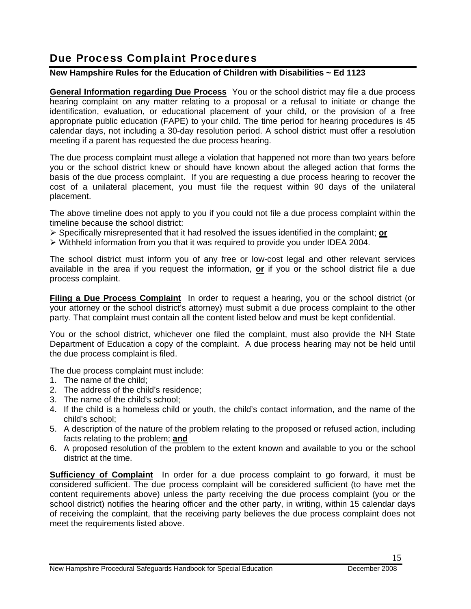# Due Process Complaint Procedures

### **New Hampshire Rules for the Education of Children with Disabilities ~ Ed 1123**

**General Information regarding Due Process** You or the school district may file a due process hearing complaint on any matter relating to a proposal or a refusal to initiate or change the identification, evaluation, or educational placement of your child, or the provision of a free appropriate public education (FAPE) to your child. The time period for hearing procedures is 45 calendar days, not including a 30-day resolution period. A school district must offer a resolution meeting if a parent has requested the due process hearing.

The due process complaint must allege a violation that happened not more than two years before you or the school district knew or should have known about the alleged action that forms the basis of the due process complaint. If you are requesting a due process hearing to recover the cost of a unilateral placement, you must file the request within 90 days of the unilateral placement.

The above timeline does not apply to you if you could not file a due process complaint within the timeline because the school district:

- ¾ Specifically misrepresented that it had resolved the issues identified in the complaint; **or**
- $\triangleright$  Withheld information from you that it was required to provide you under IDEA 2004.

The school district must inform you of any free or low-cost legal and other relevant services available in the area if you request the information, **or** if you or the school district file a due process complaint.

**Filing a Due Process Complaint** In order to request a hearing, you or the school district (or your attorney or the school district's attorney) must submit a due process complaint to the other party. That complaint must contain all the content listed below and must be kept confidential.

You or the school district, whichever one filed the complaint, must also provide the NH State Department of Education a copy of the complaint. A due process hearing may not be held until the due process complaint is filed.

The due process complaint must include:

- 1. The name of the child;
- 2. The address of the child's residence;
- 3. The name of the child's school;
- 4. If the child is a homeless child or youth, the child's contact information, and the name of the child's school;
- 5. A description of the nature of the problem relating to the proposed or refused action, including facts relating to the problem; **and**
- 6. A proposed resolution of the problem to the extent known and available to you or the school district at the time.

**Sufficiency of Complaint** In order for a due process complaint to go forward, it must be considered sufficient. The due process complaint will be considered sufficient (to have met the content requirements above) unless the party receiving the due process complaint (you or the school district) notifies the hearing officer and the other party, in writing, within 15 calendar days of receiving the complaint, that the receiving party believes the due process complaint does not meet the requirements listed above.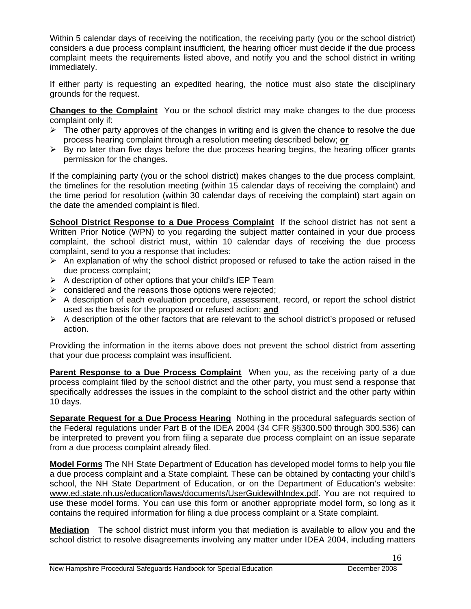Within 5 calendar days of receiving the notification, the receiving party (you or the school district) considers a due process complaint insufficient, the hearing officer must decide if the due process complaint meets the requirements listed above, and notify you and the school district in writing immediately.

If either party is requesting an expedited hearing, the notice must also state the disciplinary grounds for the request.

**Changes to the Complaint** You or the school district may make changes to the due process complaint only if:

- $\triangleright$  The other party approves of the changes in writing and is given the chance to resolve the due process hearing complaint through a resolution meeting described below; **or**
- $\triangleright$  By no later than five days before the due process hearing begins, the hearing officer grants permission for the changes.

If the complaining party (you or the school district) makes changes to the due process complaint, the timelines for the resolution meeting (within 15 calendar days of receiving the complaint) and the time period for resolution (within 30 calendar days of receiving the complaint) start again on the date the amended complaint is filed.

**School District Response to a Due Process Complaint** If the school district has not sent a Written Prior Notice (WPN) to you regarding the subject matter contained in your due process complaint, the school district must, within 10 calendar days of receiving the due process complaint, send to you a response that includes:

- $\triangleright$  An explanation of why the school district proposed or refused to take the action raised in the due process complaint;
- $\triangleright$  A description of other options that your child's IEP Team
- $\triangleright$  considered and the reasons those options were rejected;
- $\triangleright$  A description of each evaluation procedure, assessment, record, or report the school district used as the basis for the proposed or refused action; **and**
- $\triangleright$  A description of the other factors that are relevant to the school district's proposed or refused action.

Providing the information in the items above does not prevent the school district from asserting that your due process complaint was insufficient.

**Parent Response to a Due Process Complaint** When you, as the receiving party of a due process complaint filed by the school district and the other party, you must send a response that specifically addresses the issues in the complaint to the school district and the other party within 10 days.

**Separate Request for a Due Process Hearing** Nothing in the procedural safeguards section of the Federal regulations under Part B of the IDEA 2004 (34 CFR §§300.500 through 300.536) can be interpreted to prevent you from filing a separate due process complaint on an issue separate from a due process complaint already filed.

**Model Forms** The NH State Department of Education has developed model forms to help you file a due process complaint and a State complaint. These can be obtained by contacting your child's school, the NH State Department of Education, or on the Department of Education's website: www.ed.state.nh.us/education/laws/documents/UserGuidewithIndex.pdf. You are not required to use these model forms. You can use this form or another appropriate model form, so long as it contains the required information for filing a due process complaint or a State complaint.

**Mediation** The school district must inform you that mediation is available to allow you and the school district to resolve disagreements involving any matter under IDEA 2004, including matters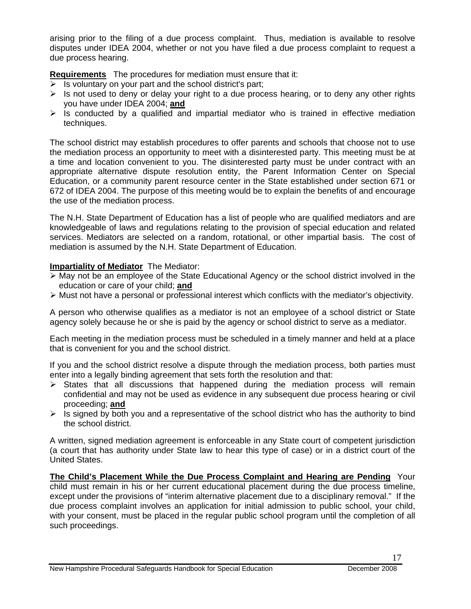arising prior to the filing of a due process complaint. Thus, mediation is available to resolve disputes under IDEA 2004, whether or not you have filed a due process complaint to request a due process hearing.

**Requirements** The procedures for mediation must ensure that it:

- $\triangleright$  Is voluntary on your part and the school district's part;
- $\triangleright$  Is not used to deny or delay your right to a due process hearing, or to deny any other rights you have under IDEA 2004; **and**
- $\triangleright$  Is conducted by a qualified and impartial mediator who is trained in effective mediation techniques.

The school district may establish procedures to offer parents and schools that choose not to use the mediation process an opportunity to meet with a disinterested party. This meeting must be at a time and location convenient to you. The disinterested party must be under contract with an appropriate alternative dispute resolution entity, the Parent Information Center on Special Education, or a community parent resource center in the State established under section 671 or 672 of IDEA 2004. The purpose of this meeting would be to explain the benefits of and encourage the use of the mediation process.

The N.H. State Department of Education has a list of people who are qualified mediators and are knowledgeable of laws and regulations relating to the provision of special education and related services. Mediators are selected on a random, rotational, or other impartial basis. The cost of mediation is assumed by the N.H. State Department of Education.

### **Impartiality of Mediator** The Mediator:

- ¾ May not be an employee of the State Educational Agency or the school district involved in the education or care of your child; **and**
- ¾ Must not have a personal or professional interest which conflicts with the mediator's objectivity.

A person who otherwise qualifies as a mediator is not an employee of a school district or State agency solely because he or she is paid by the agency or school district to serve as a mediator.

Each meeting in the mediation process must be scheduled in a timely manner and held at a place that is convenient for you and the school district.

If you and the school district resolve a dispute through the mediation process, both parties must enter into a legally binding agreement that sets forth the resolution and that:

- $\triangleright$  States that all discussions that happened during the mediation process will remain confidential and may not be used as evidence in any subsequent due process hearing or civil proceeding; **and**
- $\triangleright$  Is signed by both you and a representative of the school district who has the authority to bind the school district.

A written, signed mediation agreement is enforceable in any State court of competent jurisdiction (a court that has authority under State law to hear this type of case) or in a district court of the United States.

**The Child's Placement While the Due Process Complaint and Hearing are Pending** Your child must remain in his or her current educational placement during the due process timeline, except under the provisions of "interim alternative placement due to a disciplinary removal." If the due process complaint involves an application for initial admission to public school, your child, with your consent, must be placed in the regular public school program until the completion of all such proceedings.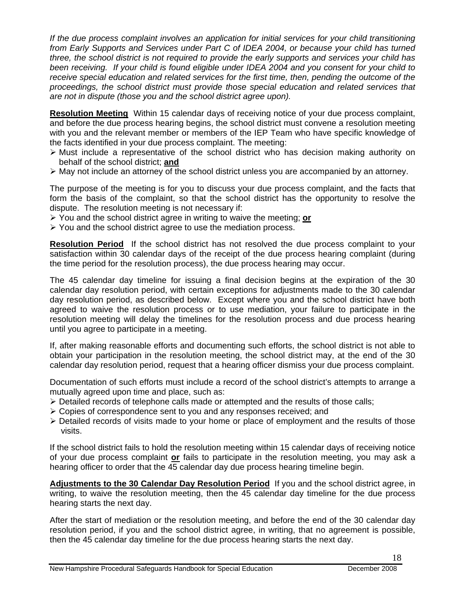*If the due process complaint involves an application for initial services for your child transitioning from Early Supports and Services under Part C of IDEA 2004, or because your child has turned three, the school district is not required to provide the early supports and services your child has been receiving. If your child is found eligible under IDEA 2004 and you consent for your child to*  receive special education and related services for the first time, then, pending the outcome of the *proceedings, the school district must provide those special education and related services that are not in dispute (those you and the school district agree upon).* 

**Resolution Meeting** Within 15 calendar days of receiving notice of your due process complaint, and before the due process hearing begins, the school district must convene a resolution meeting with you and the relevant member or members of the IEP Team who have specific knowledge of the facts identified in your due process complaint. The meeting:

- $\triangleright$  Must include a representative of the school district who has decision making authority on behalf of the school district; **and**
- $\triangleright$  May not include an attorney of the school district unless you are accompanied by an attorney.

The purpose of the meeting is for you to discuss your due process complaint, and the facts that form the basis of the complaint, so that the school district has the opportunity to resolve the dispute. The resolution meeting is not necessary if:

- ¾ You and the school district agree in writing to waive the meeting; **or**
- ¾ You and the school district agree to use the mediation process.

**Resolution Period** If the school district has not resolved the due process complaint to your satisfaction within 30 calendar days of the receipt of the due process hearing complaint (during the time period for the resolution process), the due process hearing may occur.

The 45 calendar day timeline for issuing a final decision begins at the expiration of the 30 calendar day resolution period, with certain exceptions for adjustments made to the 30 calendar day resolution period, as described below. Except where you and the school district have both agreed to waive the resolution process or to use mediation, your failure to participate in the resolution meeting will delay the timelines for the resolution process and due process hearing until you agree to participate in a meeting.

If, after making reasonable efforts and documenting such efforts, the school district is not able to obtain your participation in the resolution meeting, the school district may, at the end of the 30 calendar day resolution period, request that a hearing officer dismiss your due process complaint.

Documentation of such efforts must include a record of the school district's attempts to arrange a mutually agreed upon time and place, such as:

- $\triangleright$  Detailed records of telephone calls made or attempted and the results of those calls;
- ¾ Copies of correspondence sent to you and any responses received; and
- $\triangleright$  Detailed records of visits made to your home or place of employment and the results of those visits.

If the school district fails to hold the resolution meeting within 15 calendar days of receiving notice of your due process complaint **or** fails to participate in the resolution meeting, you may ask a hearing officer to order that the 45 calendar day due process hearing timeline begin.

**Adjustments to the 30 Calendar Day Resolution Period** If you and the school district agree, in writing, to waive the resolution meeting, then the 45 calendar day timeline for the due process hearing starts the next day.

After the start of mediation or the resolution meeting, and before the end of the 30 calendar day resolution period, if you and the school district agree, in writing, that no agreement is possible, then the 45 calendar day timeline for the due process hearing starts the next day.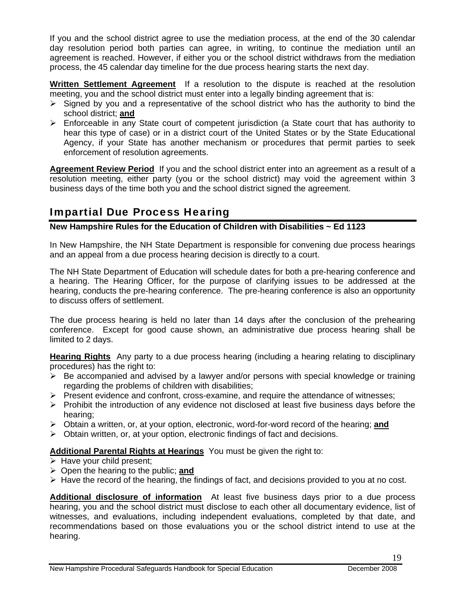If you and the school district agree to use the mediation process, at the end of the 30 calendar day resolution period both parties can agree, in writing, to continue the mediation until an agreement is reached. However, if either you or the school district withdraws from the mediation process, the 45 calendar day timeline for the due process hearing starts the next day.

**Written Settlement Agreement** If a resolution to the dispute is reached at the resolution meeting, you and the school district must enter into a legally binding agreement that is:

- $\triangleright$  Signed by you and a representative of the school district who has the authority to bind the school district; **and**
- ¾ Enforceable in any State court of competent jurisdiction (a State court that has authority to hear this type of case) or in a district court of the United States or by the State Educational Agency, if your State has another mechanism or procedures that permit parties to seek enforcement of resolution agreements.

**Agreement Review Period** If you and the school district enter into an agreement as a result of a resolution meeting, either party (you or the school district) may void the agreement within 3 business days of the time both you and the school district signed the agreement.

# Impartial Due Process Hearing

### **New Hampshire Rules for the Education of Children with Disabilities ~ Ed 1123**

In New Hampshire, the NH State Department is responsible for convening due process hearings and an appeal from a due process hearing decision is directly to a court.

The NH State Department of Education will schedule dates for both a pre-hearing conference and a hearing. The Hearing Officer, for the purpose of clarifying issues to be addressed at the hearing, conducts the pre-hearing conference. The pre-hearing conference is also an opportunity to discuss offers of settlement.

The due process hearing is held no later than 14 days after the conclusion of the prehearing conference. Except for good cause shown, an administrative due process hearing shall be limited to 2 days.

**Hearing Rights** Any party to a due process hearing (including a hearing relating to disciplinary procedures) has the right to:

- $\triangleright$  Be accompanied and advised by a lawyer and/or persons with special knowledge or training regarding the problems of children with disabilities;
- $\triangleright$  Present evidence and confront, cross-examine, and require the attendance of witnesses;
- $\triangleright$  Prohibit the introduction of any evidence not disclosed at least five business days before the hearing;
- ¾ Obtain a written, or, at your option, electronic, word-for-word record of the hearing; **and**
- $\triangleright$  Obtain written, or, at your option, electronic findings of fact and decisions.

### **Additional Parental Rights at Hearings** You must be given the right to:

- $\triangleright$  Have your child present;
- ¾ Open the hearing to the public; **and**
- $\triangleright$  Have the record of the hearing, the findings of fact, and decisions provided to you at no cost.

**Additional disclosure of information** At least five business days prior to a due process hearing, you and the school district must disclose to each other all documentary evidence, list of witnesses, and evaluations, including independent evaluations, completed by that date, and recommendations based on those evaluations you or the school district intend to use at the hearing.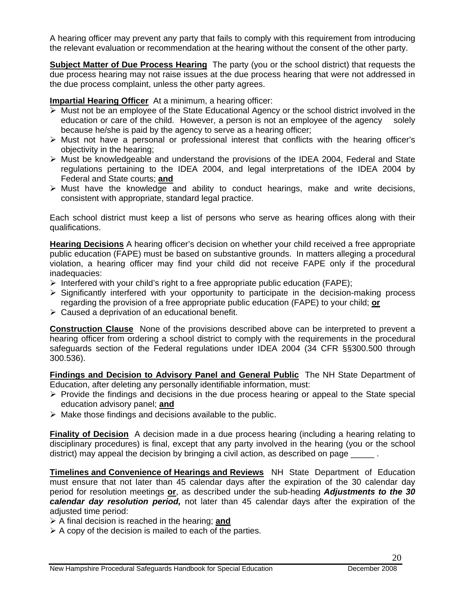A hearing officer may prevent any party that fails to comply with this requirement from introducing the relevant evaluation or recommendation at the hearing without the consent of the other party.

**Subject Matter of Due Process Hearing** The party (you or the school district) that requests the due process hearing may not raise issues at the due process hearing that were not addressed in the due process complaint, unless the other party agrees.

#### **Impartial Hearing Officer** At a minimum, a hearing officer:

- $\triangleright$  Must not be an employee of the State Educational Agency or the school district involved in the education or care of the child. However, a person is not an employee of the agency solely because he/she is paid by the agency to serve as a hearing officer;
- $\triangleright$  Must not have a personal or professional interest that conflicts with the hearing officer's objectivity in the hearing;
- $\triangleright$  Must be knowledgeable and understand the provisions of the IDEA 2004, Federal and State regulations pertaining to the IDEA 2004, and legal interpretations of the IDEA 2004 by Federal and State courts; **and**
- $\triangleright$  Must have the knowledge and ability to conduct hearings, make and write decisions, consistent with appropriate, standard legal practice.

Each school district must keep a list of persons who serve as hearing offices along with their qualifications.

**Hearing Decisions** A hearing officer's decision on whether your child received a free appropriate public education (FAPE) must be based on substantive grounds. In matters alleging a procedural violation, a hearing officer may find your child did not receive FAPE only if the procedural inadequacies:

- $\triangleright$  Interfered with your child's right to a free appropriate public education (FAPE);
- $\triangleright$  Significantly interfered with your opportunity to participate in the decision-making process regarding the provision of a free appropriate public education (FAPE) to your child; **or**
- $\triangleright$  Caused a deprivation of an educational benefit.

**Construction Clause** None of the provisions described above can be interpreted to prevent a hearing officer from ordering a school district to comply with the requirements in the procedural safeguards section of the Federal regulations under IDEA 2004 (34 CFR §§300.500 through 300.536).

**Findings and Decision to Advisory Panel and General Public** The NH State Department of Education, after deleting any personally identifiable information, must:

- $\triangleright$  Provide the findings and decisions in the due process hearing or appeal to the State special education advisory panel; **and**
- $\triangleright$  Make those findings and decisions available to the public.

**Finality of Decision** A decision made in a due process hearing (including a hearing relating to disciplinary procedures) is final, except that any party involved in the hearing (you or the school district) may appeal the decision by bringing a civil action, as described on page

**Timelines and Convenience of Hearings and Reviews** NH State Department of Education must ensure that not later than 45 calendar days after the expiration of the 30 calendar day period for resolution meetings **or**, as described under the sub-heading *Adjustments to the 30 calendar day resolution period,* not later than 45 calendar days after the expiration of the adjusted time period:

¾ A final decision is reached in the hearing; **and**

 $\triangleright$  A copy of the decision is mailed to each of the parties.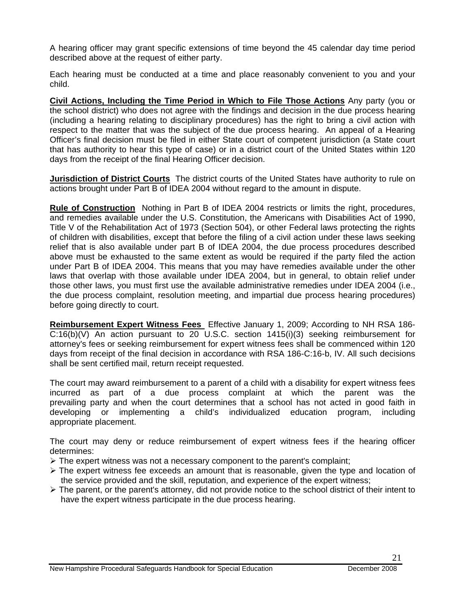A hearing officer may grant specific extensions of time beyond the 45 calendar day time period described above at the request of either party.

Each hearing must be conducted at a time and place reasonably convenient to you and your child.

**Civil Actions, Including the Time Period in Which to File Those Actions** Any party (you or the school district) who does not agree with the findings and decision in the due process hearing (including a hearing relating to disciplinary procedures) has the right to bring a civil action with respect to the matter that was the subject of the due process hearing. An appeal of a Hearing Officer's final decision must be filed in either State court of competent jurisdiction (a State court that has authority to hear this type of case) or in a district court of the United States within 120 days from the receipt of the final Hearing Officer decision.

**Jurisdiction of District Courts** The district courts of the United States have authority to rule on actions brought under Part B of IDEA 2004 without regard to the amount in dispute.

**Rule of Construction** Nothing in Part B of IDEA 2004 restricts or limits the right, procedures, and remedies available under the U.S. Constitution, the Americans with Disabilities Act of 1990, Title V of the Rehabilitation Act of 1973 (Section 504), or other Federal laws protecting the rights of children with disabilities, except that before the filing of a civil action under these laws seeking relief that is also available under part B of IDEA 2004, the due process procedures described above must be exhausted to the same extent as would be required if the party filed the action under Part B of IDEA 2004. This means that you may have remedies available under the other laws that overlap with those available under IDEA 2004, but in general, to obtain relief under those other laws, you must first use the available administrative remedies under IDEA 2004 (i.e., the due process complaint, resolution meeting, and impartial due process hearing procedures) before going directly to court.

**Reimbursement Expert Witness Fees** Effective January 1, 2009; According to NH RSA 186- C:16(b)(V) An action pursuant to 20 U.S.C. section 1415(i)(3) seeking reimbursement for attorney's fees or seeking reimbursement for expert witness fees shall be commenced within 120 days from receipt of the final decision in accordance with RSA 186-C:16-b, IV. All such decisions shall be sent certified mail, return receipt requested.

The court may award reimbursement to a parent of a child with a disability for expert witness fees incurred as part of a due process complaint at which the parent was the prevailing party and when the court determines that a school has not acted in good faith in developing or implementing a child's individualized education program, including appropriate placement.

The court may deny or reduce reimbursement of expert witness fees if the hearing officer determines:

- $\triangleright$  The expert witness was not a necessary component to the parent's complaint;
- $\triangleright$  The expert witness fee exceeds an amount that is reasonable, given the type and location of the service provided and the skill, reputation, and experience of the expert witness;
- $\triangleright$  The parent, or the parent's attorney, did not provide notice to the school district of their intent to have the expert witness participate in the due process hearing.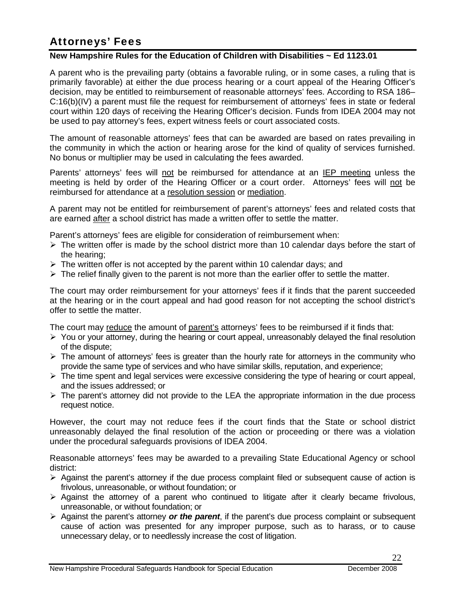# Attorneys' Fees

### **New Hampshire Rules for the Education of Children with Disabilities ~ Ed 1123.01**

A parent who is the prevailing party (obtains a favorable ruling, or in some cases, a ruling that is primarily favorable) at either the due process hearing or a court appeal of the Hearing Officer's decision, may be entitled to reimbursement of reasonable attorneys' fees. According to RSA 186– C:16(b)(IV) a parent must file the request for reimbursement of attorneys' fees in state or federal court within 120 days of receiving the Hearing Officer's decision. Funds from IDEA 2004 may not be used to pay attorney's fees, expert witness feels or court associated costs.

The amount of reasonable attorneys' fees that can be awarded are based on rates prevailing in the community in which the action or hearing arose for the kind of quality of services furnished. No bonus or multiplier may be used in calculating the fees awarded.

Parents' attorneys' fees will not be reimbursed for attendance at an IEP meeting unless the meeting is held by order of the Hearing Officer or a court order. Attorneys' fees will not be reimbursed for attendance at a resolution session or mediation.

A parent may not be entitled for reimbursement of parent's attorneys' fees and related costs that are earned after a school district has made a written offer to settle the matter.

Parent's attorneys' fees are eligible for consideration of reimbursement when:

- $\triangleright$  The written offer is made by the school district more than 10 calendar days before the start of the hearing;
- $\triangleright$  The written offer is not accepted by the parent within 10 calendar days; and
- $\triangleright$  The relief finally given to the parent is not more than the earlier offer to settle the matter.

The court may order reimbursement for your attorneys' fees if it finds that the parent succeeded at the hearing or in the court appeal and had good reason for not accepting the school district's offer to settle the matter.

The court may reduce the amount of parent's attorneys' fees to be reimbursed if it finds that:

- $\triangleright$  You or your attorney, during the hearing or court appeal, unreasonably delayed the final resolution of the dispute;
- $\triangleright$  The amount of attorneys' fees is greater than the hourly rate for attorneys in the community who provide the same type of services and who have similar skills, reputation, and experience;
- $\triangleright$  The time spent and legal services were excessive considering the type of hearing or court appeal, and the issues addressed; or
- $\triangleright$  The parent's attorney did not provide to the LEA the appropriate information in the due process request notice.

However, the court may not reduce fees if the court finds that the State or school district unreasonably delayed the final resolution of the action or proceeding or there was a violation under the procedural safeguards provisions of IDEA 2004.

Reasonable attorneys' fees may be awarded to a prevailing State Educational Agency or school district:

- $\triangleright$  Against the parent's attorney if the due process complaint filed or subsequent cause of action is frivolous, unreasonable, or without foundation; or
- $\triangleright$  Against the attorney of a parent who continued to litigate after it clearly became frivolous, unreasonable, or without foundation; or
- ¾ Against the parent's attorney *or the parent*, if the parent's due process complaint or subsequent cause of action was presented for any improper purpose, such as to harass, or to cause unnecessary delay, or to needlessly increase the cost of litigation.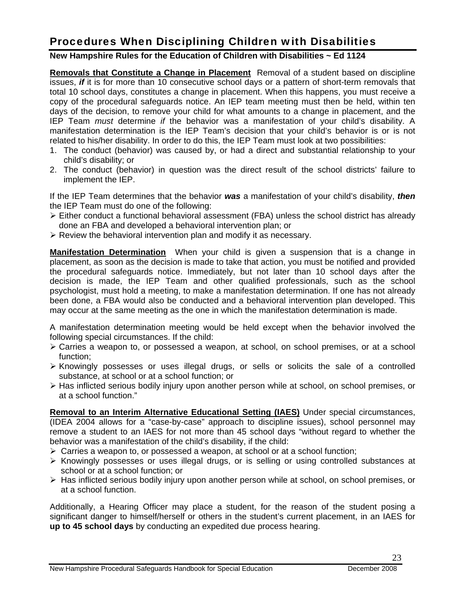# Procedures When Disciplining Children with Disabilities

### **New Hampshire Rules for the Education of Children with Disabilities ~ Ed 1124**

**Removals that Constitute a Change in Placement** Removal of a student based on discipline issues, *if* it is for more than 10 consecutive school days or a pattern of short-term removals that total 10 school days, constitutes a change in placement. When this happens, you must receive a copy of the procedural safeguards notice. An IEP team meeting must then be held, within ten days of the decision, to remove your child for what amounts to a change in placement, and the IEP Team *must* determine *if* the behavior was a manifestation of your child's disability. A manifestation determination is the IEP Team's decision that your child's behavior is or is not related to his/her disability. In order to do this, the IEP Team must look at two possibilities:

- 1. The conduct (behavior) was caused by, or had a direct and substantial relationship to your child's disability; or
- 2. The conduct (behavior) in question was the direct result of the school districts' failure to implement the IEP.

If the IEP Team determines that the behavior *was* a manifestation of your child's disability, *then*  the IEP Team must do one of the following:

- ¾ Either conduct a functional behavioral assessment (FBA) unless the school district has already done an FBA and developed a behavioral intervention plan; or
- $\triangleright$  Review the behavioral intervention plan and modify it as necessary.

**Manifestation Determination** When your child is given a suspension that is a change in placement, as soon as the decision is made to take that action, you must be notified and provided the procedural safeguards notice. Immediately, but not later than 10 school days after the decision is made, the IEP Team and other qualified professionals, such as the school psychologist, must hold a meeting, to make a manifestation determination. If one has not already been done, a FBA would also be conducted and a behavioral intervention plan developed. This may occur at the same meeting as the one in which the manifestation determination is made.

A manifestation determination meeting would be held except when the behavior involved the following special circumstances. If the child:

- ¾ Carries a weapon to, or possessed a weapon, at school, on school premises, or at a school function;
- ¾ Knowingly possesses or uses illegal drugs, or sells or solicits the sale of a controlled substance, at school or at a school function; or
- $\triangleright$  Has inflicted serious bodily injury upon another person while at school, on school premises, or at a school function."

**Removal to an Interim Alternative Educational Setting (IAES)** Under special circumstances, (IDEA 2004 allows for a "case-by-case" approach to discipline issues), school personnel may remove a student to an IAES for not more than 45 school days "without regard to whether the behavior was a manifestation of the child's disability, if the child:

- $\triangleright$  Carries a weapon to, or possessed a weapon, at school or at a school function;
- $\triangleright$  Knowingly possesses or uses illegal drugs, or is selling or using controlled substances at school or at a school function; or
- $\triangleright$  Has inflicted serious bodily injury upon another person while at school, on school premises, or at a school function.

Additionally, a Hearing Officer may place a student, for the reason of the student posing a significant danger to himself/herself or others in the student's current placement, in an IAES for **up to 45 school days** by conducting an expedited due process hearing.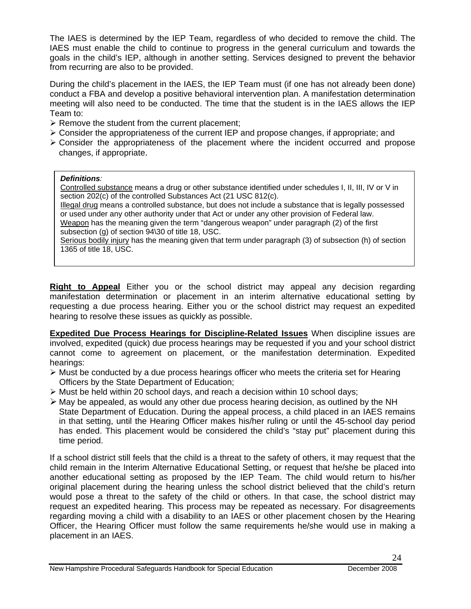The IAES is determined by the IEP Team, regardless of who decided to remove the child. The IAES must enable the child to continue to progress in the general curriculum and towards the goals in the child's IEP, although in another setting. Services designed to prevent the behavior from recurring are also to be provided.

During the child's placement in the IAES, the IEP Team must (if one has not already been done) conduct a FBA and develop a positive behavioral intervention plan. A manifestation determination meeting will also need to be conducted. The time that the student is in the IAES allows the IEP Team to:

- $\triangleright$  Remove the student from the current placement;
- $\triangleright$  Consider the appropriateness of the current IEP and propose changes, if appropriate; and
- $\triangleright$  Consider the appropriateness of the placement where the incident occurred and propose changes, if appropriate.

#### *Definitions:*

Controlled substance means a drug or other substance identified under schedules I, II, III, IV or V in section 202(c) of the controlled Substances Act (21 USC 812(c).

Illegal drug means a controlled substance, but does not include a substance that is legally possessed or used under any other authority under that Act or under any other provision of Federal law. Weapon has the meaning given the term "dangerous weapon" under paragraph (2) of the first subsection (g) of section 94\30 of title 18, USC.

Serious bodily injury has the meaning given that term under paragraph (3) of subsection (h) of section 1365 of title 18, USC.

**Right to Appeal** Either you or the school district may appeal any decision regarding manifestation determination or placement in an interim alternative educational setting by requesting a due process hearing. Either you or the school district may request an expedited hearing to resolve these issues as quickly as possible.

**Expedited Due Process Hearings for Discipline-Related Issues** When discipline issues are involved, expedited (quick) due process hearings may be requested if you and your school district cannot come to agreement on placement, or the manifestation determination. Expedited hearings:

- $\triangleright$  Must be conducted by a due process hearings officer who meets the criteria set for Hearing Officers by the State Department of Education;
- $\triangleright$  Must be held within 20 school days, and reach a decision within 10 school days;
- $\triangleright$  May be appealed, as would any other due process hearing decision, as outlined by the NH State Department of Education. During the appeal process, a child placed in an IAES remains in that setting, until the Hearing Officer makes his/her ruling or until the 45-school day period has ended. This placement would be considered the child's "stay put" placement during this time period.

If a school district still feels that the child is a threat to the safety of others, it may request that the child remain in the Interim Alternative Educational Setting, or request that he/she be placed into another educational setting as proposed by the IEP Team. The child would return to his/her original placement during the hearing unless the school district believed that the child's return would pose a threat to the safety of the child or others. In that case, the school district may request an expedited hearing. This process may be repeated as necessary. For disagreements regarding moving a child with a disability to an IAES or other placement chosen by the Hearing Officer, the Hearing Officer must follow the same requirements he/she would use in making a placement in an IAES.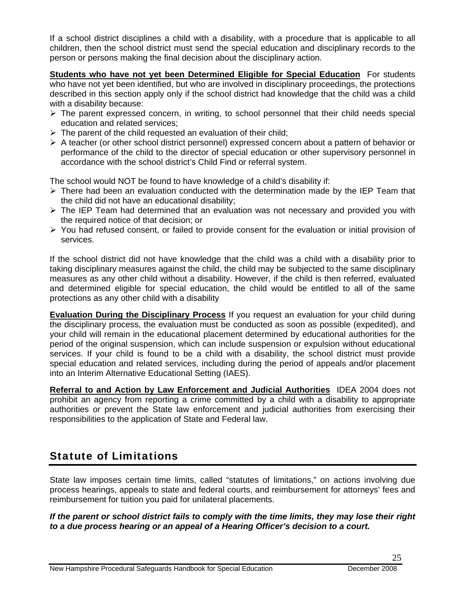If a school district disciplines a child with a disability, with a procedure that is applicable to all children, then the school district must send the special education and disciplinary records to the person or persons making the final decision about the disciplinary action.

**Students who have not yet been Determined Eligible for Special Education** For students who have not yet been identified, but who are involved in disciplinary proceedings, the protections described in this section apply only if the school district had knowledge that the child was a child with a disability because:

- $\triangleright$  The parent expressed concern, in writing, to school personnel that their child needs special education and related services;
- $\triangleright$  The parent of the child requested an evaluation of their child;
- $\triangleright$  A teacher (or other school district personnel) expressed concern about a pattern of behavior or performance of the child to the director of special education or other supervisory personnel in accordance with the school district's Child Find or referral system.

The school would NOT be found to have knowledge of a child's disability if:

- ¾ There had been an evaluation conducted with the determination made by the IEP Team that the child did not have an educational disability;
- $\triangleright$  The IEP Team had determined that an evaluation was not necessary and provided you with the required notice of that decision; or
- $\triangleright$  You had refused consent, or failed to provide consent for the evaluation or initial provision of services.

If the school district did not have knowledge that the child was a child with a disability prior to taking disciplinary measures against the child, the child may be subjected to the same disciplinary measures as any other child without a disability. However, if the child is then referred, evaluated and determined eligible for special education, the child would be entitled to all of the same protections as any other child with a disability

**Evaluation During the Disciplinary Process** If you request an evaluation for your child during the disciplinary process, the evaluation must be conducted as soon as possible (expedited), and your child will remain in the educational placement determined by educational authorities for the period of the original suspension, which can include suspension or expulsion without educational services. If your child is found to be a child with a disability, the school district must provide special education and related services, including during the period of appeals and/or placement into an Interim Alternative Educational Setting (IAES).

**Referral to and Action by Law Enforcement and Judicial Authorities** IDEA 2004 does not prohibit an agency from reporting a crime committed by a child with a disability to appropriate authorities or prevent the State law enforcement and judicial authorities from exercising their responsibilities to the application of State and Federal law.

# Statute of Limitations

State law imposes certain time limits, called "statutes of limitations," on actions involving due process hearings, appeals to state and federal courts, and reimbursement for attorneys' fees and reimbursement for tuition you paid for unilateral placements.

*If the parent or school district fails to comply with the time limits, they may lose their right to a due process hearing or an appeal of a Hearing Officer's decision to a court.*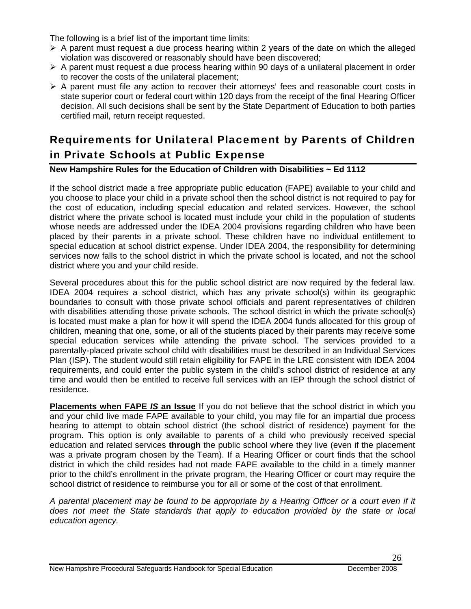The following is a brief list of the important time limits:

- $\triangleright$  A parent must request a due process hearing within 2 years of the date on which the alleged violation was discovered or reasonably should have been discovered;
- $\triangleright$  A parent must request a due process hearing within 90 days of a unilateral placement in order to recover the costs of the unilateral placement;
- $\triangleright$  A parent must file any action to recover their attorneys' fees and reasonable court costs in state superior court or federal court within 120 days from the receipt of the final Hearing Officer decision. All such decisions shall be sent by the State Department of Education to both parties certified mail, return receipt requested.

# Requirements for Unilateral Placement by Parents of Children in Private Schools at Public Expense

**New Hampshire Rules for the Education of Children with Disabilities ~ Ed 1112** 

If the school district made a free appropriate public education (FAPE) available to your child and you choose to place your child in a private school then the school district is not required to pay for the cost of education, including special education and related services. However, the school district where the private school is located must include your child in the population of students whose needs are addressed under the IDEA 2004 provisions regarding children who have been placed by their parents in a private school. These children have no individual entitlement to special education at school district expense. Under IDEA 2004, the responsibility for determining services now falls to the school district in which the private school is located, and not the school district where you and your child reside.

Several procedures about this for the public school district are now required by the federal law. IDEA 2004 requires a school district, which has any private school(s) within its geographic boundaries to consult with those private school officials and parent representatives of children with disabilities attending those private schools. The school district in which the private school(s) is located must make a plan for how it will spend the IDEA 2004 funds allocated for this group of children, meaning that one, some, or all of the students placed by their parents may receive some special education services while attending the private school. The services provided to a parentally-placed private school child with disabilities must be described in an Individual Services Plan (ISP). The student would still retain eligibility for FAPE in the LRE consistent with IDEA 2004 requirements, and could enter the public system in the child's school district of residence at any time and would then be entitled to receive full services with an IEP through the school district of residence.

**Placements when FAPE** *IS* **an Issue** If you do not believe that the school district in which you and your child live made FAPE available to your child, you may file for an impartial due process hearing to attempt to obtain school district (the school district of residence) payment for the program. This option is only available to parents of a child who previously received special education and related services **through** the public school where they live (even if the placement was a private program chosen by the Team). If a Hearing Officer or court finds that the school district in which the child resides had not made FAPE available to the child in a timely manner prior to the child's enrollment in the private program, the Hearing Officer or court may require the school district of residence to reimburse you for all or some of the cost of that enrollment.

*A parental placement may be found to be appropriate by a Hearing Officer or a court even if it*  does not meet the State standards that apply to education provided by the state or local *education agency.*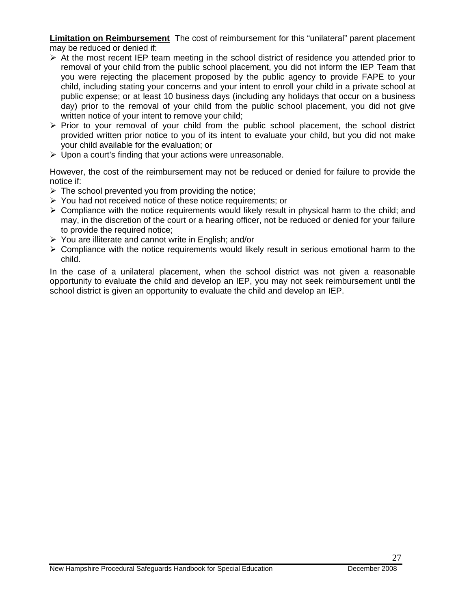**Limitation on Reimbursement** The cost of reimbursement for this "unilateral" parent placement may be reduced or denied if:

- $\triangleright$  At the most recent IEP team meeting in the school district of residence you attended prior to removal of your child from the public school placement, you did not inform the IEP Team that you were rejecting the placement proposed by the public agency to provide FAPE to your child, including stating your concerns and your intent to enroll your child in a private school at public expense; or at least 10 business days (including any holidays that occur on a business day) prior to the removal of your child from the public school placement, you did not give written notice of your intent to remove your child;
- $\triangleright$  Prior to your removal of your child from the public school placement, the school district provided written prior notice to you of its intent to evaluate your child, but you did not make your child available for the evaluation; or
- $\triangleright$  Upon a court's finding that your actions were unreasonable.

However, the cost of the reimbursement may not be reduced or denied for failure to provide the notice if:

- $\triangleright$  The school prevented you from providing the notice;
- ¾ You had not received notice of these notice requirements; or
- $\triangleright$  Compliance with the notice requirements would likely result in physical harm to the child; and may, in the discretion of the court or a hearing officer, not be reduced or denied for your failure to provide the required notice;
- $\triangleright$  You are illiterate and cannot write in English; and/or
- $\triangleright$  Compliance with the notice requirements would likely result in serious emotional harm to the child.

In the case of a unilateral placement, when the school district was not given a reasonable opportunity to evaluate the child and develop an IEP, you may not seek reimbursement until the school district is given an opportunity to evaluate the child and develop an IEP.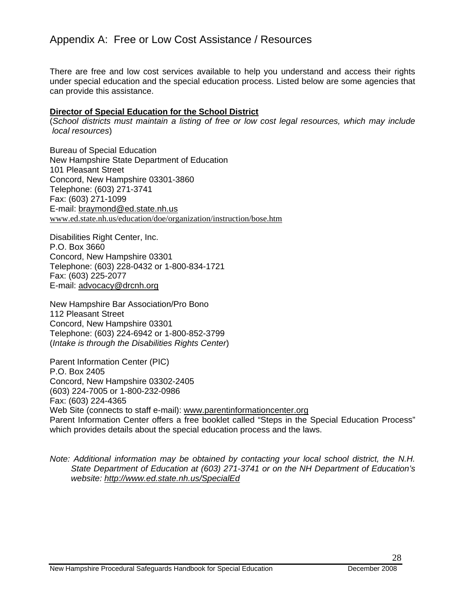### Appendix A: Free or Low Cost Assistance / Resources

There are free and low cost services available to help you understand and access their rights under special education and the special education process. Listed below are some agencies that can provide this assistance.

#### **Director of Special Education for the School District**

(*School districts must maintain a listing of free or low cost legal resources, which may include local resources*)

Bureau of Special Education New Hampshire State Department of Education 101 Pleasant Street Concord, New Hampshire 03301-3860 Telephone: (603) 271-3741 Fax: (603) 271-1099 E-mail: braymond@ed.state.nh.us www.ed.state.nh.us/education/doe/organization/instruction/bose.htm

Disabilities Right Center, Inc. P.O. Box 3660 Concord, New Hampshire 03301 Telephone: (603) 228-0432 or 1-800-834-1721 Fax: (603) 225-2077 E-mail: advocacy@drcnh.org

New Hampshire Bar Association/Pro Bono 112 Pleasant Street Concord, New Hampshire 03301 Telephone: (603) 224-6942 or 1-800-852-3799 (*Intake is through the Disabilities Rights Center*)

Parent Information Center (PIC) P.O. Box 2405 Concord, New Hampshire 03302-2405 (603) 224-7005 or 1-800-232-0986 Fax: (603) 224-4365 Web Site (connects to staff e-mail): www.parentinformationcenter.org Parent Information Center offers a free booklet called "Steps in the Special Education Process" which provides details about the special education process and the laws.

*Note: Additional information may be obtained by contacting your local school district, the N.H. State Department of Education at (603) 271-3741 or on the NH Department of Education's website: http://www.ed.state.nh.us/SpecialEd*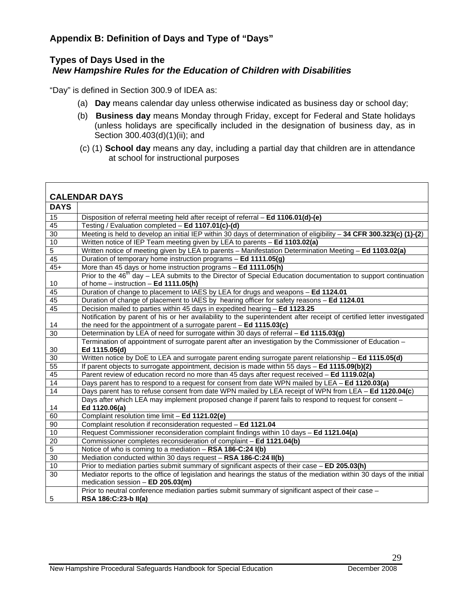### **Appendix B: Definition of Days and Type of "Days"**

### **Types of Days Used in the**  *New Hampshire Rules for the Education of Children with Disabilities*

"Day" is defined in Section 300.9 of IDEA as:

- (a) **Day** means calendar day unless otherwise indicated as business day or school day;
- (b) **Business day** means Monday through Friday, except for Federal and State holidays (unless holidays are specifically included in the designation of business day, as in Section 300.403(d)(1)(ii); and
- (c) (1) **School day** means any day, including a partial day that children are in attendance at school for instructional purposes

|                 | <b>CALENDAR DAYS</b>                                                                                                                                      |
|-----------------|-----------------------------------------------------------------------------------------------------------------------------------------------------------|
| <b>DAYS</b>     |                                                                                                                                                           |
| 15              | Disposition of referral meeting held after receipt of referral - Ed 1106.01(d)-(e)                                                                        |
| 45              | Testing / Evaluation completed - Ed 1107.01(c)-(d)                                                                                                        |
| 30              | Meeting is held to develop an initial IEP within 30 days of determination of eligibility $-$ 34 CFR 300.323(c) (1)-(2)                                    |
| 10              | Written notice of IEP Team meeting given by LEA to parents - Ed 1103.02(a)                                                                                |
| $\overline{5}$  | Written notice of meeting given by LEA to parents - Manifestation Determination Meeting - Ed 1103.02(a)                                                   |
| 45              | Duration of temporary home instruction programs - Ed 1111.05(g)                                                                                           |
| $45+$           | More than 45 days or home instruction programs - Ed 1111.05(h)                                                                                            |
|                 | Prior to the $46th$ day – LEA submits to the Director of Special Education documentation to support continuation                                          |
| 10              | of home $-$ instruction $-$ Ed 1111.05(h)                                                                                                                 |
| 45              | Duration of change to placement to IAES by LEA for drugs and weapons - Ed 1124.01                                                                         |
| 45              | Duration of change of placement to IAES by hearing officer for safety reasons - Ed 1124.01                                                                |
| 45              | Decision mailed to parties within 45 days in expedited hearing - Ed 1123.25                                                                               |
|                 | Notification by parent of his or her availability to the superintendent after receipt of certified letter investigated                                    |
| 14              | the need for the appointment of a surrogate parent $-$ Ed 1115.03(c)                                                                                      |
| $\overline{30}$ | Determination by LEA of need for surrogate within 30 days of referral - Ed 1115.03(g)                                                                     |
|                 | Termination of appointment of surrogate parent after an investigation by the Commissioner of Education -                                                  |
| 30              | Ed 1115.05(d)                                                                                                                                             |
| $\overline{30}$ | Written notice by DoE to LEA and surrogate parent ending surrogate parent relationship - Ed 1115.05(d)                                                    |
| 55              | If parent objects to surrogate appointment, decision is made within 55 days - Ed 1115.09(b)(2)                                                            |
| 45              | Parent review of education record no more than 45 days after request received - Ed 1119.02(a)                                                             |
| $\overline{14}$ | Days parent has to respond to a request for consent from date WPN mailed by LEA - Ed 1120.03(a)                                                           |
| $\overline{14}$ | Days parent has to refuse consent from date WPN mailed by LEA receipt of WPN from LEA - Ed 1120.04(c)                                                     |
| 14              | Days after which LEA may implement proposed change if parent fails to respond to request for consent -<br>Ed 1120.06(a)                                   |
| 60              | Complaint resolution time limit - Ed 1121.02(e)                                                                                                           |
| 90              | Complaint resolution if reconsideration requested - Ed 1121.04                                                                                            |
| 10              | Request Commissioner reconsideration complaint findings within 10 days - Ed 1121.04(a)                                                                    |
| $\overline{20}$ | Commissioner completes reconsideration of complaint - Ed 1121.04(b)                                                                                       |
| $\overline{5}$  | Notice of who is coming to a mediation - RSA 186-C:24 I(b)                                                                                                |
| 30              | Mediation conducted within 30 days request - RSA 186-C:24 II(b)                                                                                           |
| 10              | Prior to mediation parties submit summary of significant aspects of their case - ED 205.03(h)                                                             |
| 30              | Mediator reports to the office of legislation and hearings the status of the mediation within 30 days of the initial<br>medication session - ED 205.03(m) |
| 5               | Prior to neutral conference mediation parties submit summary of significant aspect of their case -<br>RSA 186:C:23-b II(a)                                |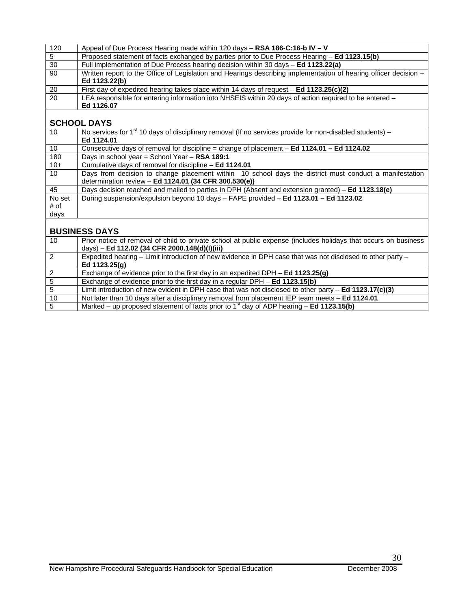| 120             | Appeal of Due Process Hearing made within 120 days $-$ RSA 186-C:16-b IV $-$ V                                   |
|-----------------|------------------------------------------------------------------------------------------------------------------|
| 5               | Proposed statement of facts exchanged by parties prior to Due Process Hearing - Ed 1123.15(b)                    |
| 30              | Full implementation of Due Process hearing decision within 30 days - Ed 1123.22(a)                               |
| 90              | Written report to the Office of Legislation and Hearings describing implementation of hearing officer decision - |
|                 | Ed 1123.22(b)                                                                                                    |
| 20              | First day of expedited hearing takes place within 14 days of request $-$ Ed 1123.25(c)(2)                        |
| $\overline{20}$ | LEA responsible for entering information into NHSEIS within 20 days of action required to be entered -           |
|                 | Ed 1126.07                                                                                                       |
|                 |                                                                                                                  |
|                 | <b>SCHOOL DAYS</b>                                                                                               |
|                 |                                                                                                                  |

#### **SCHOOL DAYS**

| 10              | No services for $1st$ 10 days of disciplinary removal (If no services provide for non-disabled students) – |
|-----------------|------------------------------------------------------------------------------------------------------------|
|                 | Ed 1124.01                                                                                                 |
| 10              | Consecutive days of removal for discipline = change of placement $-$ Ed 1124.01 $-$ Ed 1124.02             |
| 180             | Days in school year = School Year - RSA 189:1                                                              |
| $10+$           | Cumulative days of removal for discipline - Ed 1124.01                                                     |
| 10 <sup>°</sup> | Days from decision to change placement within 10 school days the district must conduct a manifestation     |
|                 | determination review - Ed 1124.01 (34 CFR 300.530(e))                                                      |
| 45              | Days decision reached and mailed to parties in DPH (Absent and extension granted) – Ed 1123.18(e)          |
| No set          | During suspension/expulsion beyond 10 days - FAPE provided - Ed 1123.01 - Ed 1123.02                       |
| # of            |                                                                                                            |
| days            |                                                                                                            |
|                 |                                                                                                            |

# **BUSINESS DAYS**

| 10             | Prior notice of removal of child to private school at public expense (includes holidays that occurs on business<br>days) - Ed 112.02 (34 CFR 2000.148(d)(l)(iii) |
|----------------|------------------------------------------------------------------------------------------------------------------------------------------------------------------|
| $\overline{2}$ | Expedited hearing - Limit introduction of new evidence in DPH case that was not disclosed to other party -                                                       |
|                | Ed 1123.25(g)                                                                                                                                                    |
|                | Exchange of evidence prior to the first day in an expedited DPH - Ed 1123.25(g)                                                                                  |
|                | Exchange of evidence prior to the first day in a regular DPH - Ed 1123.15(b)                                                                                     |
| 5              | Limit introduction of new evident in DPH case that was not disclosed to other party $-$ Ed 1123.17(c)(3)                                                         |
| 10             | Not later than 10 days after a disciplinary removal from placement IEP team meets - Ed 1124.01                                                                   |
|                | Marked – up proposed statement of facts prior to 1 <sup>st</sup> day of ADP hearing – <b>Ed 1123.15(b)</b>                                                       |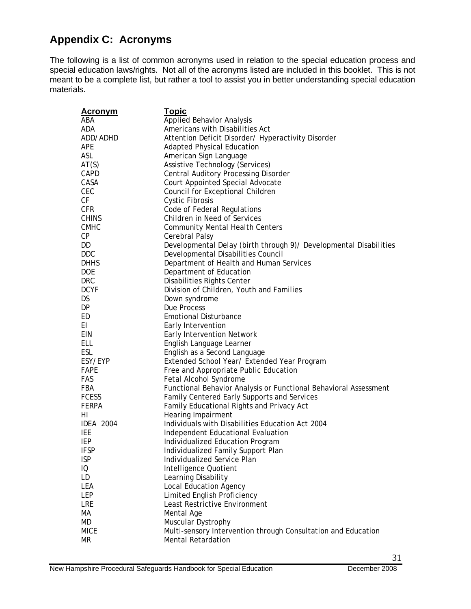# **Appendix C: Acronyms**

The following is a list of common acronyms used in relation to the special education process and special education laws/rights. Not all of the acronyms listed are included in this booklet. This is not meant to be a complete list, but rather a tool to assist you in better understanding special education materials.

| <u>Acronym</u>   | <b>Topic</b>                                                      |
|------------------|-------------------------------------------------------------------|
| ABA              | <b>Applied Behavior Analysis</b>                                  |
| ADA              | Americans with Disabilities Act                                   |
| ADD/ADHD         | Attention Deficit Disorder/ Hyperactivity Disorder                |
| APE              | <b>Adapted Physical Education</b>                                 |
| ASL              | American Sign Language                                            |
| AT(S)            | Assistive Technology (Services)                                   |
| CAPD             | <b>Central Auditory Processing Disorder</b>                       |
| CASA             | Court Appointed Special Advocate                                  |
| CEC              | Council for Exceptional Children                                  |
| СF               | <b>Cystic Fibrosis</b>                                            |
| <b>CFR</b>       | Code of Federal Regulations                                       |
| <b>CHINS</b>     | Children in Need of Services                                      |
| <b>CMHC</b>      | <b>Community Mental Health Centers</b>                            |
| СP               | Cerebral Palsy                                                    |
| DD               | Developmental Delay (birth through 9)/ Developmental Disabilities |
| DDC              | Developmental Disabilities Council                                |
| <b>DHHS</b>      | Department of Health and Human Services                           |
| <b>DOE</b>       | Department of Education                                           |
| <b>DRC</b>       | Disabilities Rights Center                                        |
| <b>DCYF</b>      | Division of Children, Youth and Families                          |
| DS               | Down syndrome                                                     |
| DP               | Due Process                                                       |
| ED               | <b>Emotional Disturbance</b>                                      |
| EL               | Early Intervention                                                |
| EIN              | <b>Early Intervention Network</b>                                 |
| ELL              | English Language Learner                                          |
| ESL              | English as a Second Language                                      |
| ESY/EYP          | Extended School Year/ Extended Year Program                       |
| FAPE             | Free and Appropriate Public Education                             |
| FAS              | Fetal Alcohol Syndrome                                            |
| FBA              | Functional Behavior Analysis or Functional Behavioral Assessment  |
| <b>FCESS</b>     | Family Centered Early Supports and Services                       |
| <b>FERPA</b>     | Family Educational Rights and Privacy Act                         |
| HI.              | Hearing Impairment                                                |
| <b>IDEA 2004</b> | Individuals with Disabilities Education Act 2004                  |
| IEE              | Independent Educational Evaluation                                |
| IEP              | Individualized Education Program                                  |
| <b>IFSP</b>      | Individualized Family Support Plan                                |
| <b>ISP</b>       | Individualized Service Plan                                       |
| IQ               | Intelligence Quotient                                             |
| LD               | Learning Disability                                               |
| LEA              | <b>Local Education Agency</b>                                     |
| LEP              | Limited English Proficiency                                       |
| LRE              | Least Restrictive Environment                                     |
| МA               | Mental Age                                                        |
| MD               | Muscular Dystrophy                                                |
| <b>MICE</b>      | Multi-sensory Intervention through Consultation and Education     |
| МR               | <b>Mental Retardation</b>                                         |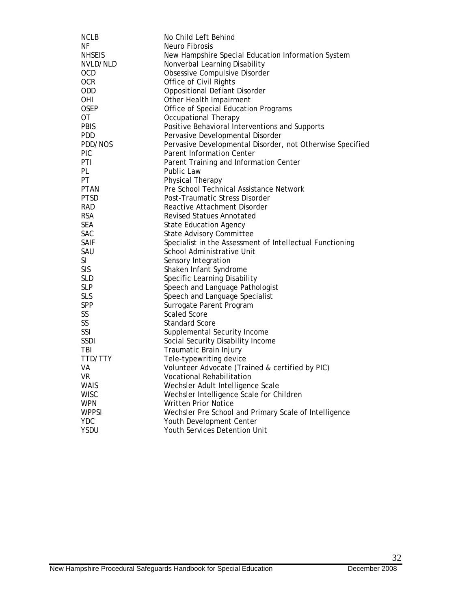| <b>NCLB</b><br>ΝF<br>Neuro Fibrosis<br><b>NHSEIS</b><br>New Hampshire Special Education Information System<br>Nonverbal Learning Disability<br>NVLD/NLD<br>Obsessive Compulsive Disorder<br><b>OCD</b><br><b>OCR</b><br>Office of Civil Rights<br>ODD<br><b>Oppositional Defiant Disorder</b><br><b>OHI</b><br>Other Health Impairment<br>Office of Special Education Programs<br><b>OSEP</b><br>0T<br><b>Occupational Therapy</b><br><b>PBIS</b><br>Positive Behavioral Interventions and Supports<br><b>PDD</b><br>Pervasive Developmental Disorder<br>Pervasive Developmental Disorder, not Otherwise Specified<br>PDD/NOS |
|-------------------------------------------------------------------------------------------------------------------------------------------------------------------------------------------------------------------------------------------------------------------------------------------------------------------------------------------------------------------------------------------------------------------------------------------------------------------------------------------------------------------------------------------------------------------------------------------------------------------------------|
|                                                                                                                                                                                                                                                                                                                                                                                                                                                                                                                                                                                                                               |
|                                                                                                                                                                                                                                                                                                                                                                                                                                                                                                                                                                                                                               |
|                                                                                                                                                                                                                                                                                                                                                                                                                                                                                                                                                                                                                               |
|                                                                                                                                                                                                                                                                                                                                                                                                                                                                                                                                                                                                                               |
|                                                                                                                                                                                                                                                                                                                                                                                                                                                                                                                                                                                                                               |
|                                                                                                                                                                                                                                                                                                                                                                                                                                                                                                                                                                                                                               |
|                                                                                                                                                                                                                                                                                                                                                                                                                                                                                                                                                                                                                               |
|                                                                                                                                                                                                                                                                                                                                                                                                                                                                                                                                                                                                                               |
|                                                                                                                                                                                                                                                                                                                                                                                                                                                                                                                                                                                                                               |
|                                                                                                                                                                                                                                                                                                                                                                                                                                                                                                                                                                                                                               |
|                                                                                                                                                                                                                                                                                                                                                                                                                                                                                                                                                                                                                               |
|                                                                                                                                                                                                                                                                                                                                                                                                                                                                                                                                                                                                                               |
| <b>PIC</b><br><b>Parent Information Center</b>                                                                                                                                                                                                                                                                                                                                                                                                                                                                                                                                                                                |
| PTI                                                                                                                                                                                                                                                                                                                                                                                                                                                                                                                                                                                                                           |
| Parent Training and Information Center<br>PL<br>Public Law                                                                                                                                                                                                                                                                                                                                                                                                                                                                                                                                                                    |
|                                                                                                                                                                                                                                                                                                                                                                                                                                                                                                                                                                                                                               |
| PT<br>Physical Therapy                                                                                                                                                                                                                                                                                                                                                                                                                                                                                                                                                                                                        |
| Pre School Technical Assistance Network<br><b>PTAN</b>                                                                                                                                                                                                                                                                                                                                                                                                                                                                                                                                                                        |
| <b>PTSD</b><br>Post-Traumatic Stress Disorder                                                                                                                                                                                                                                                                                                                                                                                                                                                                                                                                                                                 |
| <b>RAD</b><br>Reactive Attachment Disorder                                                                                                                                                                                                                                                                                                                                                                                                                                                                                                                                                                                    |
| <b>RSA</b><br><b>Revised Statues Annotated</b>                                                                                                                                                                                                                                                                                                                                                                                                                                                                                                                                                                                |
| <b>SEA</b><br><b>State Education Agency</b>                                                                                                                                                                                                                                                                                                                                                                                                                                                                                                                                                                                   |
| <b>SAC</b><br><b>State Advisory Committee</b>                                                                                                                                                                                                                                                                                                                                                                                                                                                                                                                                                                                 |
| Specialist in the Assessment of Intellectual Functioning<br><b>SAIF</b>                                                                                                                                                                                                                                                                                                                                                                                                                                                                                                                                                       |
| SAU<br>School Administrative Unit                                                                                                                                                                                                                                                                                                                                                                                                                                                                                                                                                                                             |
| <b>SI</b><br>Sensory Integration                                                                                                                                                                                                                                                                                                                                                                                                                                                                                                                                                                                              |
| <b>SIS</b><br>Shaken Infant Syndrome                                                                                                                                                                                                                                                                                                                                                                                                                                                                                                                                                                                          |
| Specific Learning Disability<br><b>SLD</b>                                                                                                                                                                                                                                                                                                                                                                                                                                                                                                                                                                                    |
| <b>SLP</b><br>Speech and Language Pathologist                                                                                                                                                                                                                                                                                                                                                                                                                                                                                                                                                                                 |
| <b>SLS</b><br>Speech and Language Specialist                                                                                                                                                                                                                                                                                                                                                                                                                                                                                                                                                                                  |
| <b>SPP</b><br>Surrogate Parent Program                                                                                                                                                                                                                                                                                                                                                                                                                                                                                                                                                                                        |
| SS<br><b>Scaled Score</b>                                                                                                                                                                                                                                                                                                                                                                                                                                                                                                                                                                                                     |
| SS<br><b>Standard Score</b>                                                                                                                                                                                                                                                                                                                                                                                                                                                                                                                                                                                                   |
| SSI<br>Supplemental Security Income                                                                                                                                                                                                                                                                                                                                                                                                                                                                                                                                                                                           |
| <b>SSDI</b><br>Social Security Disability Income                                                                                                                                                                                                                                                                                                                                                                                                                                                                                                                                                                              |
| TBI<br>Traumatic Brain Injury                                                                                                                                                                                                                                                                                                                                                                                                                                                                                                                                                                                                 |
| TTD/TTY<br>Tele-typewriting device                                                                                                                                                                                                                                                                                                                                                                                                                                                                                                                                                                                            |
| Volunteer Advocate (Trained & certified by PIC)<br>VA                                                                                                                                                                                                                                                                                                                                                                                                                                                                                                                                                                         |
| <b>Vocational Rehabilitation</b><br><b>VR</b>                                                                                                                                                                                                                                                                                                                                                                                                                                                                                                                                                                                 |
| Wechsler Adult Intelligence Scale<br><b>WAIS</b>                                                                                                                                                                                                                                                                                                                                                                                                                                                                                                                                                                              |
| Wechsler Intelligence Scale for Children<br><b>WISC</b>                                                                                                                                                                                                                                                                                                                                                                                                                                                                                                                                                                       |
| <b>WPN</b><br>Written Prior Notice                                                                                                                                                                                                                                                                                                                                                                                                                                                                                                                                                                                            |
| <b>WPPSI</b><br>Wechsler Pre School and Primary Scale of Intelligence                                                                                                                                                                                                                                                                                                                                                                                                                                                                                                                                                         |
| <b>YDC</b><br>Youth Development Center                                                                                                                                                                                                                                                                                                                                                                                                                                                                                                                                                                                        |
| <b>YSDU</b><br>Youth Services Detention Unit                                                                                                                                                                                                                                                                                                                                                                                                                                                                                                                                                                                  |